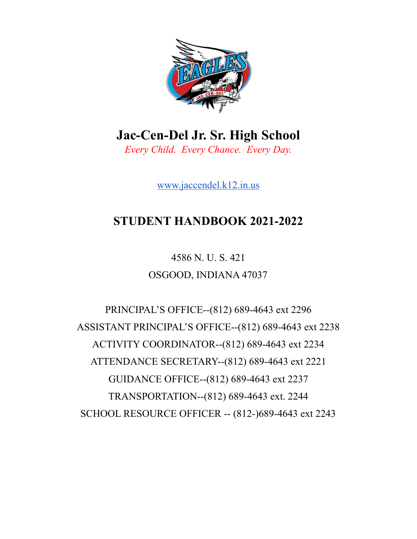

**Jac-Cen-Del Jr. Sr. High School** *Every Child. Every Chance. Every Day.*

[www.jaccendel.k12.in.us](http://www.jaccendel.k12.in.us)

# **STUDENT HANDBOOK 2021-2022**

4586 N. U. S. 421 OSGOOD, INDIANA 47037

PRINCIPAL'S OFFICE--(812) 689-4643 ext 2296 ASSISTANT PRINCIPAL'S OFFICE--(812) 689-4643 ext 2238 ACTIVITY COORDINATOR--(812) 689-4643 ext 2234 ATTENDANCE SECRETARY--(812) 689-4643 ext 2221 GUIDANCE OFFICE--(812) 689-4643 ext 2237 TRANSPORTATION--(812) 689-4643 ext. 2244 SCHOOL RESOURCE OFFICER -- (812-)689-4643 ext 2243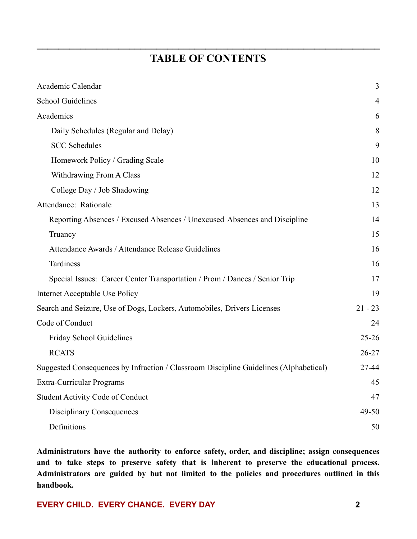# **TABLE OF CONTENTS**

**\_\_\_\_\_\_\_\_\_\_\_\_\_\_\_\_\_\_\_\_\_\_\_\_\_\_\_\_\_\_\_\_\_\_\_\_\_\_\_\_\_\_\_\_\_\_\_\_\_\_\_\_\_\_\_\_\_\_\_\_\_\_\_**

| Academic Calendar                                                                     | 3         |
|---------------------------------------------------------------------------------------|-----------|
| <b>School Guidelines</b>                                                              | 4         |
| Academics                                                                             | 6         |
| Daily Schedules (Regular and Delay)                                                   | 8         |
| <b>SCC Schedules</b>                                                                  | 9         |
| Homework Policy / Grading Scale                                                       | 10        |
| Withdrawing From A Class                                                              | 12        |
| College Day / Job Shadowing                                                           | 12        |
| Attendance: Rationale                                                                 | 13        |
| Reporting Absences / Excused Absences / Unexcused Absences and Discipline             | 14        |
| Truancy                                                                               | 15        |
| Attendance Awards / Attendance Release Guidelines                                     | 16        |
| <b>Tardiness</b>                                                                      | 16        |
| Special Issues: Career Center Transportation / Prom / Dances / Senior Trip            | 17        |
| Internet Acceptable Use Policy                                                        | 19        |
| Search and Seizure, Use of Dogs, Lockers, Automobiles, Drivers Licenses               | $21 - 23$ |
| Code of Conduct                                                                       | 24        |
| Friday School Guidelines                                                              | $25 - 26$ |
| <b>RCATS</b>                                                                          | $26 - 27$ |
| Suggested Consequences by Infraction / Classroom Discipline Guidelines (Alphabetical) | 27-44     |
| Extra-Curricular Programs                                                             | 45        |
| <b>Student Activity Code of Conduct</b>                                               | 47        |
| <b>Disciplinary Consequences</b>                                                      | $49 - 50$ |
| Definitions                                                                           | 50        |

**Administrators have the authority to enforce safety, order, and discipline; assign consequences and to take steps to preserve safety that is inherent to preserve the educational process. Administrators are guided by but not limited to the policies and procedures outlined in this handbook.**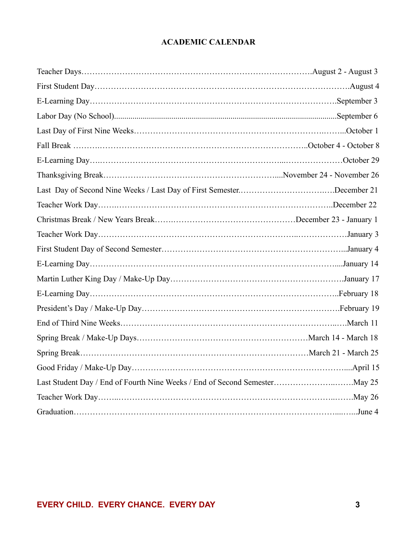# **ACADEMIC CALENDAR**

| Last Day of Second Nine Weeks / Last Day of First SemesterDecember 21 |  |
|-----------------------------------------------------------------------|--|
|                                                                       |  |
|                                                                       |  |
|                                                                       |  |
|                                                                       |  |
|                                                                       |  |
|                                                                       |  |
|                                                                       |  |
|                                                                       |  |
|                                                                       |  |
|                                                                       |  |
|                                                                       |  |
|                                                                       |  |
|                                                                       |  |
|                                                                       |  |
|                                                                       |  |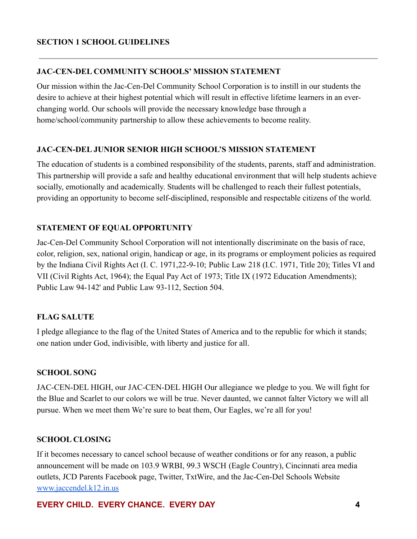### **JAC-CEN-DEL COMMUNITY SCHOOLS' MISSION STATEMENT**

Our mission within the Jac-Cen-Del Community School Corporation is to instill in our students the desire to achieve at their highest potential which will result in effective lifetime learners in an everchanging world. Our schools will provide the necessary knowledge base through a home/school/community partnership to allow these achievements to become reality.

### **JAC-CEN-DEL JUNIOR SENIOR HIGH SCHOOL'S MISSION STATEMENT**

The education of students is a combined responsibility of the students, parents, staff and administration. This partnership will provide a safe and healthy educational environment that will help students achieve socially, emotionally and academically. Students will be challenged to reach their fullest potentials, providing an opportunity to become self-disciplined, responsible and respectable citizens of the world.

### **STATEMENT OF EQUAL OPPORTUNITY**

Jac-Cen-Del Community School Corporation will not intentionally discriminate on the basis of race, color, religion, sex, national origin, handicap or age, in its programs or employment policies as required by the Indiana Civil Rights Act (I. C. 1971,22-9-10; Public Law 218 (I.C. 1971, Title 20); Titles VI and VII (Civil Rights Act, 1964); the Equal Pay Act of 1973; Title IX (1972 Education Amendments); Public Law 94-142' and Public Law 93-112, Section 504.

# **FLAG SALUTE**

I pledge allegiance to the flag of the United States of America and to the republic for which it stands; one nation under God, indivisible, with liberty and justice for all.

### **SCHOOL SONG**

JAC-CEN-DEL HIGH, our JAC-CEN-DEL HIGH Our allegiance we pledge to you. We will fight for the Blue and Scarlet to our colors we will be true. Never daunted, we cannot falter Victory we will all pursue. When we meet them We're sure to beat them, Our Eagles, we're all for you!

### **SCHOOL CLOSING**

If it becomes necessary to cancel school because of weather conditions or for any reason, a public announcement will be made on 103.9 WRBI, 99.3 WSCH (Eagle Country), Cincinnati area media outlets, JCD Parents Facebook page, Twitter, TxtWire, and the Jac-Cen-Del Schools Website [www.jaccendel.k12.in.us](http://www.jaccendel.k12.in.us)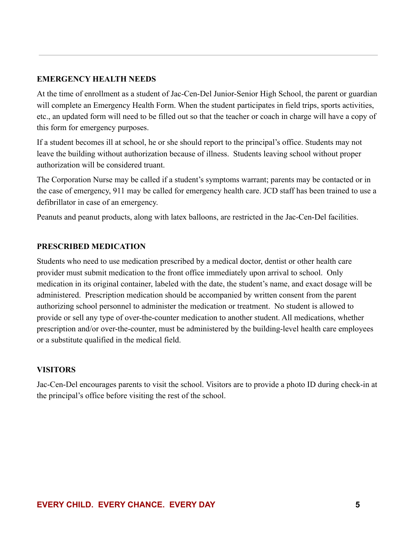#### **EMERGENCY HEALTH NEEDS**

At the time of enrollment as a student of Jac-Cen-Del Junior-Senior High School, the parent or guardian will complete an Emergency Health Form. When the student participates in field trips, sports activities, etc., an updated form will need to be filled out so that the teacher or coach in charge will have a copy of this form for emergency purposes.

If a student becomes ill at school, he or she should report to the principal's office. Students may not leave the building without authorization because of illness. Students leaving school without proper authorization will be considered truant.

The Corporation Nurse may be called if a student's symptoms warrant; parents may be contacted or in the case of emergency, 911 may be called for emergency health care. JCD staff has been trained to use a defibrillator in case of an emergency.

Peanuts and peanut products, along with latex balloons, are restricted in the Jac-Cen-Del facilities.

#### **PRESCRIBED MEDICATION**

Students who need to use medication prescribed by a medical doctor, dentist or other health care provider must submit medication to the front office immediately upon arrival to school. Only medication in its original container, labeled with the date, the student's name, and exact dosage will be administered. Prescription medication should be accompanied by written consent from the parent authorizing school personnel to administer the medication or treatment. No student is allowed to provide or sell any type of over-the-counter medication to another student. All medications, whether prescription and/or over-the-counter, must be administered by the building-level health care employees or a substitute qualified in the medical field.

#### **VISITORS**

Jac-Cen-Del encourages parents to visit the school. Visitors are to provide a photo ID during check-in at the principal's office before visiting the rest of the school.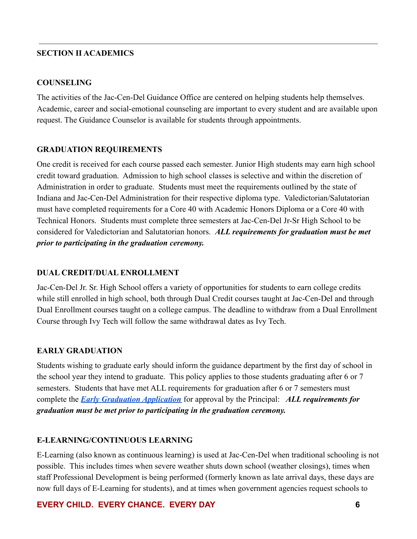#### **SECTION II ACADEMICS**

#### **COUNSELING**

The activities of the Jac-Cen-Del Guidance Office are centered on helping students help themselves. Academic, career and social-emotional counseling are important to every student and are available upon request. The Guidance Counselor is available for students through appointments.

#### **GRADUATION REQUIREMENTS**

One credit is received for each course passed each semester. Junior High students may earn high school credit toward graduation. Admission to high school classes is selective and within the discretion of Administration in order to graduate. Students must meet the requirements outlined by the state of Indiana and Jac-Cen-Del Administration for their respective diploma type. Valedictorian/Salutatorian must have completed requirements for a Core 40 with Academic Honors Diploma or a Core 40 with Technical Honors. Students must complete three semesters at Jac-Cen-Del Jr-Sr High School to be considered for Valedictorian and Salutatorian honors. *ALL requirements for graduation must be met prior to participating in the graduation ceremony.*

#### **DUAL CREDIT/DUAL ENROLLMENT**

Jac-Cen-Del Jr. Sr. High School offers a variety of opportunities for students to earn college credits while still enrolled in high school, both through Dual Credit courses taught at Jac-Cen-Del and through Dual Enrollment courses taught on a college campus. The deadline to withdraw from a Dual Enrollment Course through Ivy Tech will follow the same withdrawal dates as Ivy Tech.

### **EARLY GRADUATION**

Students wishing to graduate early should inform the guidance department by the first day of school in the school year they intend to graduate. This policy applies to those students graduating after 6 or 7 semesters. Students that have met ALL requirements for graduation after 6 or 7 semesters must complete the *[Early Graduation Application](https://docs.google.com/document/d/1_F-gH3gAtaPqHnMiIsn7Q7LUkH60iiNOJ-HMs5gOZZ0/edit?usp=sharing)* for approval by the Principal: *ALL requirements for graduation must be met prior to participating in the graduation ceremony.*

### **E-LEARNING/CONTINUOUS LEARNING**

E-Learning (also known as continuous learning) is used at Jac-Cen-Del when traditional schooling is not possible. This includes times when severe weather shuts down school (weather closings), times when staff Professional Development is being performed (formerly known as late arrival days, these days are now full days of E-Learning for students), and at times when government agencies request schools to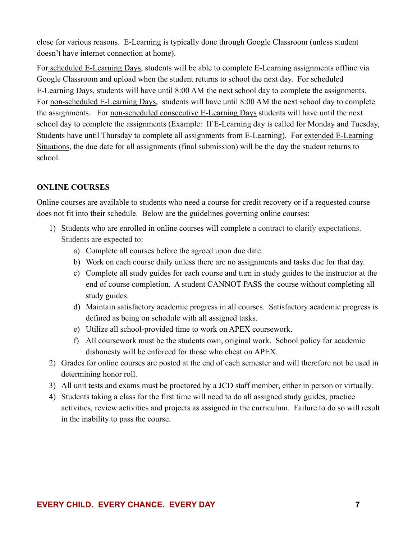close for various reasons. E-Learning is typically done through Google Classroom (unless student doesn't have internet connection at home).

For scheduled E-Learning Days, students will be able to complete E-Learning assignments offline via Google Classroom and upload when the student returns to school the next day. For scheduled E-Learning Days, students will have until 8:00 AM the next school day to complete the assignments. For non-scheduled E-Learning Days, students will have until 8:00 AM the next school day to complete the assignments. For non-scheduled consecutive E-Learning Days students will have until the next school day to complete the assignments (Example: If E-Learning day is called for Monday and Tuesday, Students have until Thursday to complete all assignments from E-Learning). For extended E-Learning Situations, the due date for all assignments (final submission) will be the day the student returns to school.

# **ONLINE COURSES**

Online courses are available to students who need a course for credit recovery or if a requested course does not fit into their schedule. Below are the guidelines governing online courses:

- 1) Students who are enrolled in online courses will complete a contract to clarify expectations. Students are expected to:
	- a) Complete all courses before the agreed upon due date.
	- b) Work on each course daily unless there are no assignments and tasks due for that day.
	- c) Complete all study guides for each course and turn in study guides to the instructor at the end of course completion. A student CANNOT PASS the course without completing all study guides.
	- d) Maintain satisfactory academic progress in all courses. Satisfactory academic progress is defined as being on schedule with all assigned tasks.
	- e) Utilize all school-provided time to work on APEX coursework.
	- f) All coursework must be the students own, original work. School policy for academic dishonesty will be enforced for those who cheat on APEX.
- 2) Grades for online courses are posted at the end of each semester and will therefore not be used in determining honor roll.
- 3) All unit tests and exams must be proctored by a JCD staff member, either in person or virtually.
- 4) Students taking a class for the first time will need to do all assigned study guides, practice activities, review activities and projects as assigned in the curriculum. Failure to do so will result in the inability to pass the course.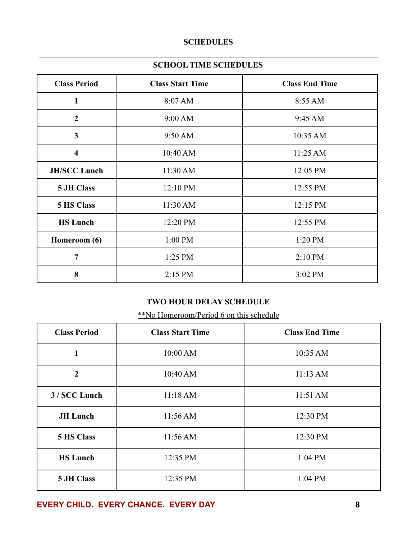### **SCHEDULES**

### **SCHOOL TIME SCHEDULES**

| <b>Class Period</b>     | <b>Class Start Time</b> | <b>Class End Time</b> |
|-------------------------|-------------------------|-----------------------|
| $\mathbf{1}$            | 8:07 AM                 | 8:55 AM               |
| $\overline{2}$          | 9:00 AM                 | 9:45 AM               |
| $\overline{\mathbf{3}}$ | 9:50 AM                 | 10:35 AM              |
| $\overline{\mathbf{4}}$ | 10:40 AM                | 11:25 AM              |
| <b>JH/SCC Lunch</b>     | 11:30 AM                | 12:05 PM              |
| 5 JH Class              | 12:10 PM                | 12:55 PM              |
| 5 HS Class              | 11:30 AM                | 12:15 PM              |
| <b>HS Lunch</b>         | 12:20 PM                | 12:55 PM              |
| Homeroom (6)            | 1:00 PM                 | 1:20 PM               |
| $\overline{7}$          | $1:25$ PM               | $2:10$ PM             |
| 8                       | 2:15 PM                 | 3:02 PM               |

# **TWO HOUR DELAY SCHEDULE**

\*\*No Homeroom/Period 6 on this schedule

| <b>Class Period</b> | <b>Class Start Time</b> | <b>Class End Time</b> |
|---------------------|-------------------------|-----------------------|
| 1                   | 10:00 AM                | 10:35 AM              |
| $\overline{2}$      | 10:40 AM                | 11:13 AM              |
| 3 / SCC Lunch       | 11:18 AM                | 11:51 AM              |
| <b>JH</b> Lunch     | 11:56 AM                | 12:30 PM              |
| <b>5 HS Class</b>   | 11:56 AM                | 12:30 PM              |
| <b>HS Lunch</b>     | 12:35 PM                | $1:04$ PM             |
| 5 JH Class          | 12:35 PM                | 1:04 PM               |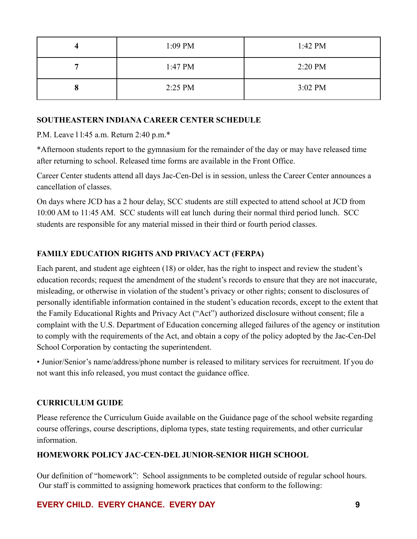| 4 | 1:09 PM           | $1:42 \text{ PM}$ |
|---|-------------------|-------------------|
|   | $1:47 \text{ PM}$ | 2:20 PM           |
| О | 2:25 PM           | 3:02 PM           |

### **SOUTHEASTERN INDIANA CAREER CENTER SCHEDULE**

P.M. Leave l l:45 a.m. Return 2:40 p.m.\*

\*Afternoon students report to the gymnasium for the remainder of the day or may have released time after returning to school. Released time forms are available in the Front Office.

Career Center students attend all days Jac-Cen-Del is in session, unless the Career Center announces a cancellation of classes.

On days where JCD has a 2 hour delay, SCC students are still expected to attend school at JCD from 10:00 AM to 11:45 AM. SCC students will eat lunch during their normal third period lunch. SCC students are responsible for any material missed in their third or fourth period classes.

# **FAMILY EDUCATION RIGHTS AND PRIVACY ACT (FERPA)**

Each parent, and student age eighteen (18) or older, has the right to inspect and review the student's education records; request the amendment of the student's records to ensure that they are not inaccurate, misleading, or otherwise in violation of the student's privacy or other rights; consent to disclosures of personally identifiable information contained in the student's education records, except to the extent that the Family Educational Rights and Privacy Act ("Act") authorized disclosure without consent; file a complaint with the U.S. Department of Education concerning alleged failures of the agency or institution to comply with the requirements of the Act, and obtain a copy of the policy adopted by the Jac-Cen-Del School Corporation by contacting the superintendent.

• Junior/Senior's name/address/phone number is released to military services for recruitment. If you do not want this info released, you must contact the guidance office.

# **CURRICULUM GUIDE**

Please reference the Curriculum Guide available on the Guidance page of the school website regarding course offerings, course descriptions, diploma types, state testing requirements, and other curricular information.

# **HOMEWORK POLICY JAC-CEN-DEL JUNIOR-SENIOR HIGH SCHOOL**

Our definition of "homework": School assignments to be completed outside of regular school hours. Our staff is committed to assigning homework practices that conform to the following: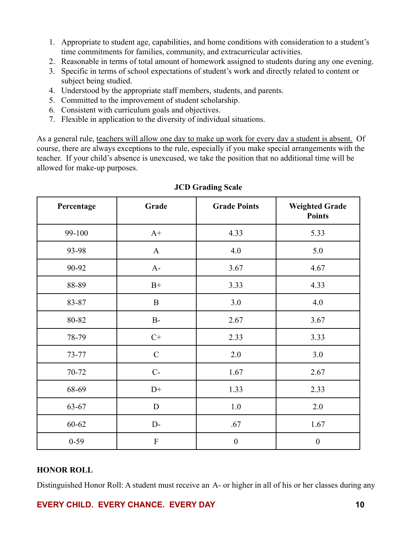- 1. Appropriate to student age, capabilities, and home conditions with consideration to a student's time commitments for families, community, and extracurricular activities.
- 2. Reasonable in terms of total amount of homework assigned to students during any one evening.
- 3. Specific in terms of school expectations of student's work and directly related to content or subject being studied.
- 4. Understood by the appropriate staff members, students, and parents.
- 5. Committed to the improvement of student scholarship.
- 6. Consistent with curriculum goals and objectives.
- 7. Flexible in application to the diversity of individual situations.

As a general rule, teachers will allow one day to make up work for every day a student is absent. Of course, there are always exceptions to the rule, especially if you make special arrangements with the teacher. If your child's absence is unexcused, we take the position that no additional time will be allowed for make-up purposes.

| Percentage | Grade         | <b>Grade Points</b> | <b>Weighted Grade</b><br><b>Points</b> |
|------------|---------------|---------------------|----------------------------------------|
| 99-100     | $A+$          | 4.33                | 5.33                                   |
| 93-98      | $\mathbf{A}$  | 4.0                 | 5.0                                    |
| 90-92      | $A-$          | 3.67                | 4.67                                   |
| 88-89      | $B+$          | 3.33                | 4.33                                   |
| 83-87      | $\bf{B}$      | 3.0                 | 4.0                                    |
| 80-82      | $B-$          | 2.67                | 3.67                                   |
| 78-79      | $C+$          | 2.33                | 3.33                                   |
| 73-77      | $\mathcal{C}$ | 2.0                 | 3.0                                    |
| 70-72      | $C-$          | 1.67                | 2.67                                   |
| 68-69      | $D+$          | 1.33                | 2.33                                   |
| 63-67      | D             | 1.0                 | 2.0                                    |
| $60 - 62$  | $D-$          | .67                 | 1.67                                   |
| $0 - 59$   | ${\bf F}$     | $\boldsymbol{0}$    | $\boldsymbol{0}$                       |

### **JCD Grading Scale**

### **HONOR ROLL**

Distinguished Honor Roll: A student must receive an A- or higher in all of his or her classes during any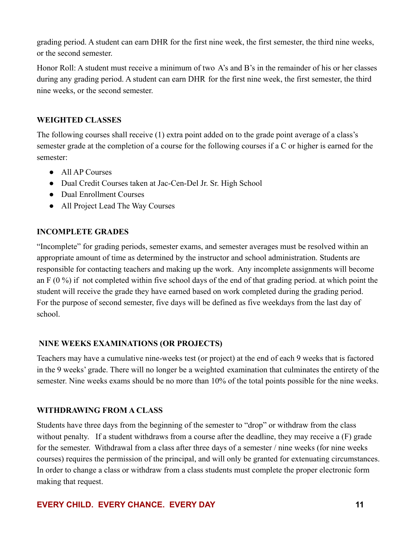grading period. A student can earn DHR for the first nine week, the first semester, the third nine weeks, or the second semester.

Honor Roll: A student must receive a minimum of two A's and B's in the remainder of his or her classes during any grading period. A student can earn DHR for the first nine week, the first semester, the third nine weeks, or the second semester.

### **WEIGHTED CLASSES**

The following courses shall receive (1) extra point added on to the grade point average of a class's semester grade at the completion of a course for the following courses if a C or higher is earned for the semester:

- All AP Courses
- Dual Credit Courses taken at Jac-Cen-Del Jr. Sr. High School
- Dual Enrollment Courses
- All Project Lead The Way Courses

### **INCOMPLETE GRADES**

"Incomplete" for grading periods, semester exams, and semester averages must be resolved within an appropriate amount of time as determined by the instructor and school administration. Students are responsible for contacting teachers and making up the work. Any incomplete assignments will become an F (0 %) if not completed within five school days of the end of that grading period. at which point the student will receive the grade they have earned based on work completed during the grading period. For the purpose of second semester, five days will be defined as five weekdays from the last day of school.

### **NINE WEEKS EXAMINATIONS (OR PROJECTS)**

Teachers may have a cumulative nine-weeks test (or project) at the end of each 9 weeks that is factored in the 9 weeks' grade. There will no longer be a weighted examination that culminates the entirety of the semester. Nine weeks exams should be no more than 10% of the total points possible for the nine weeks.

### **WITHDRAWING FROM A CLASS**

Students have three days from the beginning of the semester to "drop" or withdraw from the class without penalty. If a student withdraws from a course after the deadline, they may receive a (F) grade for the semester. Withdrawal from a class after three days of a semester / nine weeks (for nine weeks courses) requires the permission of the principal, and will only be granted for extenuating circumstances. In order to change a class or withdraw from a class students must complete the proper electronic form making that request.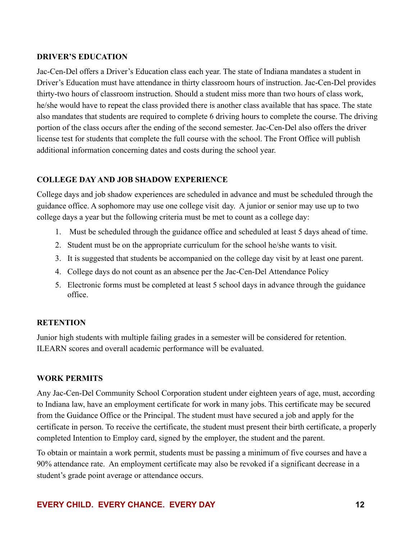#### **DRIVER'S EDUCATION**

Jac-Cen-Del offers a Driver's Education class each year. The state of Indiana mandates a student in Driver's Education must have attendance in thirty classroom hours of instruction. Jac-Cen-Del provides thirty-two hours of classroom instruction. Should a student miss more than two hours of class work, he/she would have to repeat the class provided there is another class available that has space. The state also mandates that students are required to complete 6 driving hours to complete the course. The driving portion of the class occurs after the ending of the second semester. Jac-Cen-Del also offers the driver license test for students that complete the full course with the school. The Front Office will publish additional information concerning dates and costs during the school year.

### **COLLEGE DAY AND JOB SHADOW EXPERIENCE**

College days and job shadow experiences are scheduled in advance and must be scheduled through the guidance office. A sophomore may use one college visit day. A junior or senior may use up to two college days a year but the following criteria must be met to count as a college day:

- 1. Must be scheduled through the guidance office and scheduled at least 5 days ahead of time.
- 2. Student must be on the appropriate curriculum for the school he/she wants to visit.
- 3. It is suggested that students be accompanied on the college day visit by at least one parent.
- 4. College days do not count as an absence per the Jac-Cen-Del Attendance Policy
- 5. Electronic forms must be completed at least 5 school days in advance through the guidance office.

### **RETENTION**

Junior high students with multiple failing grades in a semester will be considered for retention. ILEARN scores and overall academic performance will be evaluated.

### **WORK PERMITS**

Any Jac-Cen-Del Community School Corporation student under eighteen years of age, must, according to Indiana law, have an employment certificate for work in many jobs. This certificate may be secured from the Guidance Office or the Principal. The student must have secured a job and apply for the certificate in person. To receive the certificate, the student must present their birth certificate, a properly completed Intention to Employ card, signed by the employer, the student and the parent.

To obtain or maintain a work permit, students must be passing a minimum of five courses and have a 90% attendance rate. An employment certificate may also be revoked if a significant decrease in a student's grade point average or attendance occurs.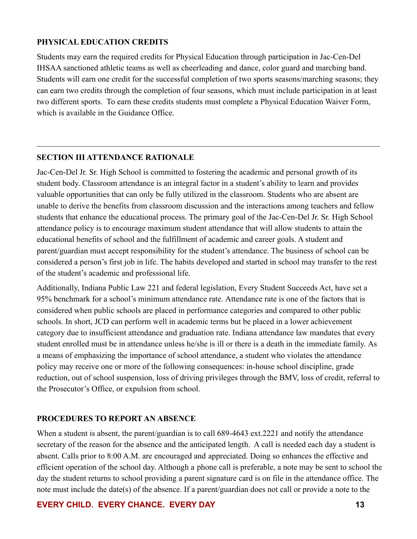### **PHYSICAL EDUCATION CREDITS**

Students may earn the required credits for Physical Education through participation in Jac-Cen-Del IHSAA sanctioned athletic teams as well as cheerleading and dance, color guard and marching band. Students will earn one credit for the successful completion of two sports seasons/marching seasons; they can earn two credits through the completion of four seasons, which must include participation in at least two different sports. To earn these credits students must complete a Physical Education Waiver Form, which is available in the Guidance Office.

 $\mathcal{L}_\text{max} = \frac{1}{2} \sum_{i=1}^n \mathcal{L}_\text{max}(\mathbf{x}_i - \mathbf{y}_i)$ 

# **SECTION III ATTENDANCE RATIONALE**

Jac-Cen-Del Jr. Sr. High School is committed to fostering the academic and personal growth of its student body. Classroom attendance is an integral factor in a student's ability to learn and provides valuable opportunities that can only be fully utilized in the classroom. Students who are absent are unable to derive the benefits from classroom discussion and the interactions among teachers and fellow students that enhance the educational process. The primary goal of the Jac-Cen-Del Jr. Sr. High School attendance policy is to encourage maximum student attendance that will allow students to attain the educational benefits of school and the fulfillment of academic and career goals. A student and parent/guardian must accept responsibility for the student's attendance. The business of school can be considered a person's first job in life. The habits developed and started in school may transfer to the rest of the student's academic and professional life.

Additionally, Indiana Public Law 221 and federal legislation, Every Student Succeeds Act, have set a 95% benchmark for a school's minimum attendance rate. Attendance rate is one of the factors that is considered when public schools are placed in performance categories and compared to other public schools. In short, JCD can perform well in academic terms but be placed in a lower achievement category due to insufficient attendance and graduation rate. Indiana attendance law mandates that every student enrolled must be in attendance unless he/she is ill or there is a death in the immediate family. As a means of emphasizing the importance of school attendance, a student who violates the attendance policy may receive one or more of the following consequences: in-house school discipline, grade reduction, out of school suspension, loss of driving privileges through the BMV, loss of credit, referral to the Prosecutor's Office, or expulsion from school.

### **PROCEDURES TO REPORT AN ABSENCE**

When a student is absent, the parent/guardian is to call 689-4643 ext. 2221 and notify the attendance secretary of the reason for the absence and the anticipated length. A call is needed each day a student is absent. Calls prior to 8:00 A.M. are encouraged and appreciated. Doing so enhances the effective and efficient operation of the school day. Although a phone call is preferable, a note may be sent to school the day the student returns to school providing a parent signature card is on file in the attendance office. The note must include the date(s) of the absence. If a parent/guardian does not call or provide a note to the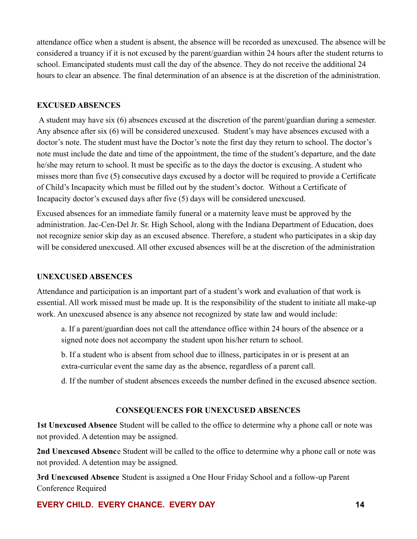attendance office when a student is absent, the absence will be recorded as unexcused. The absence will be considered a truancy if it is not excused by the parent/guardian within 24 hours after the student returns to school. Emancipated students must call the day of the absence. They do not receive the additional 24 hours to clear an absence. The final determination of an absence is at the discretion of the administration.

#### **EXCUSED ABSENCES**

A student may have six (6) absences excused at the discretion of the parent/guardian during a semester. Any absence after six (6) will be considered unexcused. Student's may have absences excused with a doctor's note. The student must have the Doctor's note the first day they return to school. The doctor's note must include the date and time of the appointment, the time of the student's departure, and the date he/she may return to school. It must be specific as to the days the doctor is excusing. A student who misses more than five (5) consecutive days excused by a doctor will be required to provide a Certificate of Child's Incapacity which must be filled out by the student's doctor. Without a Certificate of Incapacity doctor's excused days after five (5) days will be considered unexcused.

Excused absences for an immediate family funeral or a maternity leave must be approved by the administration. Jac-Cen-Del Jr. Sr. High School, along with the Indiana Department of Education, does not recognize senior skip day as an excused absence. Therefore, a student who participates in a skip day will be considered unexcused. All other excused absences will be at the discretion of the administration

#### **UNEXCUSED ABSENCES**

Attendance and participation is an important part of a student's work and evaluation of that work is essential. All work missed must be made up. It is the responsibility of the student to initiate all make-up work. An unexcused absence is any absence not recognized by state law and would include:

a. If a parent/guardian does not call the attendance office within 24 hours of the absence or a signed note does not accompany the student upon his/her return to school.

b. If a student who is absent from school due to illness, participates in or is present at an extra-curricular event the same day as the absence, regardless of a parent call.

d. If the number of student absences exceeds the number defined in the excused absence section.

#### **CONSEQUENCES FOR UNEXCUSED ABSENCES**

**1st Unexcused Absence** Student will be called to the office to determine why a phone call or note was not provided. A detention may be assigned.

**2nd Unexcused Absenc**e Student will be called to the office to determine why a phone call or note was not provided. A detention may be assigned.

**3rd Unexcused Absence** Student is assigned a One Hour Friday School and a follow-up Parent Conference Required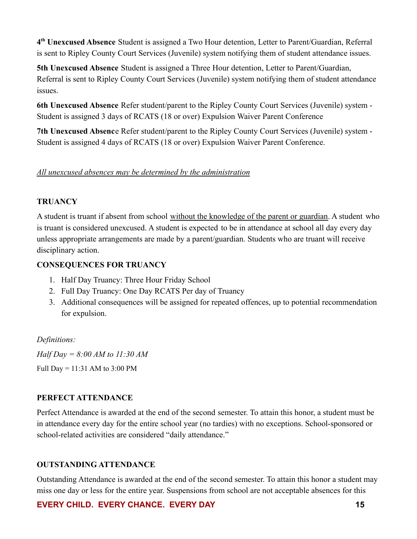**4 th Unexcused Absence** Student is assigned a Two Hour detention, Letter to Parent/Guardian, Referral is sent to Ripley County Court Services (Juvenile) system notifying them of student attendance issues.

**5th Unexcused Absence** Student is assigned a Three Hour detention, Letter to Parent/Guardian, Referral is sent to Ripley County Court Services (Juvenile) system notifying them of student attendance issues.

**6th Unexcused Absence** Refer student/parent to the Ripley County Court Services (Juvenile) system - Student is assigned 3 days of RCATS (18 or over) Expulsion Waiver Parent Conference

**7th Unexcused Absenc**e Refer student/parent to the Ripley County Court Services (Juvenile) system - Student is assigned 4 days of RCATS (18 or over) Expulsion Waiver Parent Conference.

### *All unexcused absences may be determined by the administration*

### **TRUANCY**

A student is truant if absent from school without the knowledge of the parent or guardian. A student who is truant is considered unexcused. A student is expected to be in attendance at school all day every day unless appropriate arrangements are made by a parent/guardian. Students who are truant will receive disciplinary action.

### **CONSEQUENCES FOR TRUANCY**

- 1. Half Day Truancy: Three Hour Friday School
- 2. Full Day Truancy: One Day RCATS Per day of Truancy
- 3. Additional consequences will be assigned for repeated offences, up to potential recommendation for expulsion.

### *Definitions:*

*Half Day = 8:00 AM to 11:30 AM* Full Day = 11:31 AM to 3:00 PM

# **PERFECT ATTENDANCE**

Perfect Attendance is awarded at the end of the second semester. To attain this honor, a student must be in attendance every day for the entire school year (no tardies) with no exceptions. School-sponsored or school-related activities are considered "daily attendance."

### **OUTSTANDING ATTENDANCE**

Outstanding Attendance is awarded at the end of the second semester. To attain this honor a student may miss one day or less for the entire year. Suspensions from school are not acceptable absences for this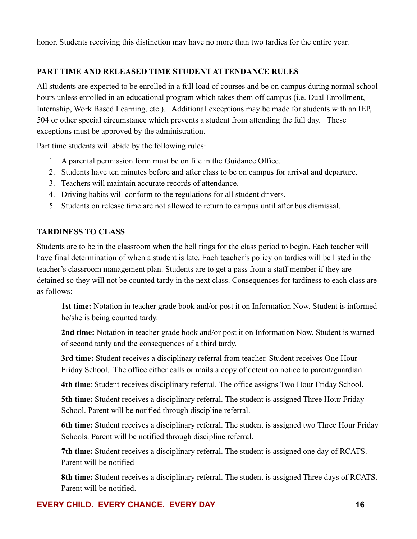honor. Students receiving this distinction may have no more than two tardies for the entire year.

### **PART TIME AND RELEASED TIME STUDENT ATTENDANCE RULES**

All students are expected to be enrolled in a full load of courses and be on campus during normal school hours unless enrolled in an educational program which takes them off campus (i.e. Dual Enrollment, Internship, Work Based Learning, etc.). Additional exceptions may be made for students with an IEP, 504 or other special circumstance which prevents a student from attending the full day. These exceptions must be approved by the administration.

Part time students will abide by the following rules:

- 1. A parental permission form must be on file in the Guidance Office.
- 2. Students have ten minutes before and after class to be on campus for arrival and departure.
- 3. Teachers will maintain accurate records of attendance.
- 4. Driving habits will conform to the regulations for all student drivers.
- 5. Students on release time are not allowed to return to campus until after bus dismissal.

### **TARDINESS TO CLASS**

Students are to be in the classroom when the bell rings for the class period to begin. Each teacher will have final determination of when a student is late. Each teacher's policy on tardies will be listed in the teacher's classroom management plan. Students are to get a pass from a staff member if they are detained so they will not be counted tardy in the next class. Consequences for tardiness to each class are as follows:

**1st time:** Notation in teacher grade book and/or post it on Information Now. Student is informed he/she is being counted tardy.

**2nd time:** Notation in teacher grade book and/or post it on Information Now. Student is warned of second tardy and the consequences of a third tardy.

**3rd time:** Student receives a disciplinary referral from teacher. Student receives One Hour Friday School. The office either calls or mails a copy of detention notice to parent/guardian.

**4th time**: Student receives disciplinary referral. The office assigns Two Hour Friday School.

**5th time:** Student receives a disciplinary referral. The student is assigned Three Hour Friday School. Parent will be notified through discipline referral.

**6th time:** Student receives a disciplinary referral. The student is assigned two Three Hour Friday Schools. Parent will be notified through discipline referral.

**7th time:** Student receives a disciplinary referral. The student is assigned one day of RCATS. Parent will be notified

**8th time:** Student receives a disciplinary referral. The student is assigned Three days of RCATS. Parent will be notified.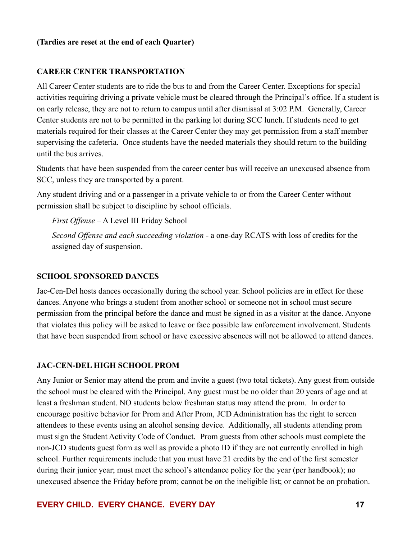#### **(Tardies are reset at the end of each Quarter)**

#### **CAREER CENTER TRANSPORTATION**

All Career Center students are to ride the bus to and from the Career Center. Exceptions for special activities requiring driving a private vehicle must be cleared through the Principal's office. If a student is on early release, they are not to return to campus until after dismissal at 3:02 P.M. Generally, Career Center students are not to be permitted in the parking lot during SCC lunch. If students need to get materials required for their classes at the Career Center they may get permission from a staff member supervising the cafeteria. Once students have the needed materials they should return to the building until the bus arrives.

Students that have been suspended from the career center bus will receive an unexcused absence from SCC, unless they are transported by a parent.

Any student driving and or a passenger in a private vehicle to or from the Career Center without permission shall be subject to discipline by school officials.

*First Offense* – A Level III Friday School

*Second Offense and each succeeding violation* - a one-day RCATS with loss of credits for the assigned day of suspension.

#### **SCHOOL SPONSORED DANCES**

Jac-Cen-Del hosts dances occasionally during the school year. School policies are in effect for these dances. Anyone who brings a student from another school or someone not in school must secure permission from the principal before the dance and must be signed in as a visitor at the dance. Anyone that violates this policy will be asked to leave or face possible law enforcement involvement. Students that have been suspended from school or have excessive absences will not be allowed to attend dances.

#### **JAC-CEN-DEL HIGH SCHOOL PROM**

Any Junior or Senior may attend the prom and invite a guest (two total tickets). Any guest from outside the school must be cleared with the Principal. Any guest must be no older than 20 years of age and at least a freshman student. NO students below freshman status may attend the prom. In order to encourage positive behavior for Prom and After Prom, JCD Administration has the right to screen attendees to these events using an alcohol sensing device. Additionally, all students attending prom must sign the Student Activity Code of Conduct. Prom guests from other schools must complete the non-JCD students guest form as well as provide a photo ID if they are not currently enrolled in high school. Further requirements include that you must have 21 credits by the end of the first semester during their junior year; must meet the school's attendance policy for the year (per handbook); no unexcused absence the Friday before prom; cannot be on the ineligible list; or cannot be on probation.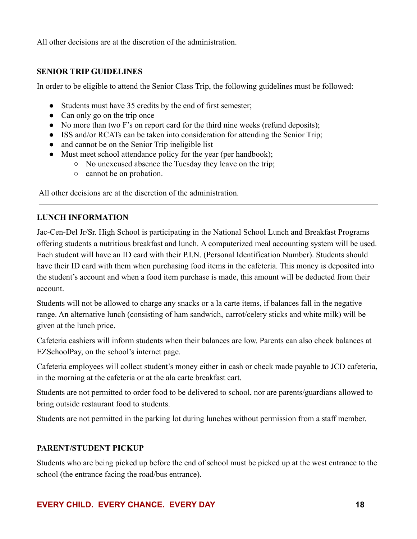All other decisions are at the discretion of the administration.

### **SENIOR TRIP GUIDELINES**

In order to be eligible to attend the Senior Class Trip, the following guidelines must be followed:

- Students must have 35 credits by the end of first semester;
- Can only go on the trip once
- No more than two F's on report card for the third nine weeks (refund deposits);
- ISS and/or RCATs can be taken into consideration for attending the Senior Trip;
- and cannot be on the Senior Trip ineligible list
- Must meet school attendance policy for the year (per handbook);
	- No unexcused absence the Tuesday they leave on the trip;
	- cannot be on probation.

All other decisions are at the discretion of the administration.

### **LUNCH INFORMATION**

Jac-Cen-Del Jr/Sr. High School is participating in the National School Lunch and Breakfast Programs offering students a nutritious breakfast and lunch. A computerized meal accounting system will be used. Each student will have an ID card with their P.I.N. (Personal Identification Number). Students should have their ID card with them when purchasing food items in the cafeteria. This money is deposited into the student's account and when a food item purchase is made, this amount will be deducted from their account.

Students will not be allowed to charge any snacks or a la carte items, if balances fall in the negative range. An alternative lunch (consisting of ham sandwich, carrot/celery sticks and white milk) will be given at the lunch price.

Cafeteria cashiers will inform students when their balances are low. Parents can also check balances at EZSchoolPay, on the school's internet page.

Cafeteria employees will collect student's money either in cash or check made payable to JCD cafeteria, in the morning at the cafeteria or at the ala carte breakfast cart.

Students are not permitted to order food to be delivered to school, nor are parents/guardians allowed to bring outside restaurant food to students.

Students are not permitted in the parking lot during lunches without permission from a staff member.

### **PARENT/STUDENT PICKUP**

Students who are being picked up before the end of school must be picked up at the west entrance to the school (the entrance facing the road/bus entrance).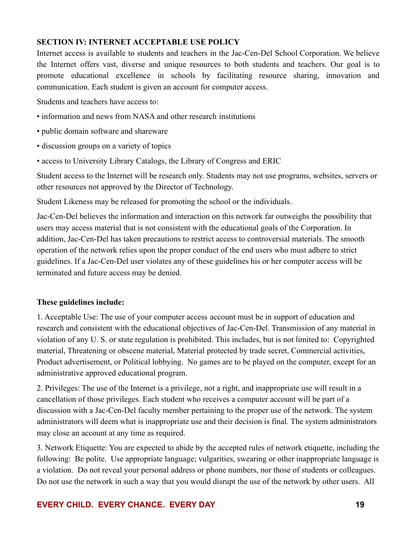### **SECTION IV: INTERNET ACCEPTABLE USE POLICY**

Internet access is available to students and teachers in the Jac-Cen-Del School Corporation. We believe the Internet offers vast, diverse and unique resources to both students and teachers. Our goal is to promote educational excellence in schools by facilitating resource sharing, innovation and communication. Each student is given an account for computer access.

Students and teachers have access to:

- information and news from NASA and other research institutions
- public domain software and shareware
- discussion groups on a variety of topics
- access to University Library Catalogs, the Library of Congress and ERIC

Student access to the Internet will be research only. Students may not use programs, websites, servers or other resources not approved by the Director of Technology.

Student Likeness may be released for promoting the school or the individuals.

Jac-Cen-Del believes the information and interaction on this network far outweighs the possibility that users may access material that is not consistent with the educational goals of the Corporation. In addition, Jac-Cen-Del has taken precautions to restrict access to controversial materials. The smooth operation of the network relies upon the proper conduct of the end users who must adhere to strict guidelines. If a Jac-Cen-Del user violates any of these guidelines his or her computer access will be terminated and future access may be denied.

### **These guidelines include:**

1. Acceptable Use: The use of your computer access account must be in support of education and research and consistent with the educational objectives of Jac-Cen-Del. Transmission of any material in violation of any U. S. or state regulation is prohibited. This includes, but is not limited to: Copyrighted material, Threatening or obscene material, Material protected by trade secret, Commercial activities, Product advertisement, or Political lobbying. No games are to be played on the computer, except for an administrative approved educational program.

2. Privileges: The use of the Internet is a privilege, not a right, and inappropriate use will result in a cancellation of those privileges. Each student who receives a computer account will be part of a discussion with a Jac-Cen-Del faculty member pertaining to the proper use of the network. The system administrators will deem what is inappropriate use and their decision is final. The system administrators may close an account at any time as required.

3. Network Etiquette: You are expected to abide by the accepted rules of network etiquette, including the following: Be polite. Use appropriate language; vulgarities, swearing or other inappropriate language is a violation. Do not reveal your personal address or phone numbers, nor those of students or colleagues. Do not use the network in such a way that you would disrupt the use of the network by other users. All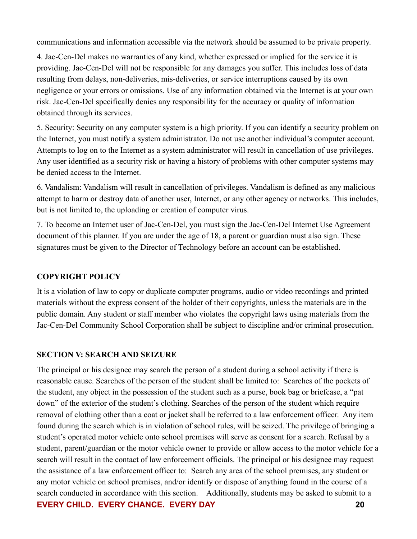communications and information accessible via the network should be assumed to be private property.

4. Jac-Cen-Del makes no warranties of any kind, whether expressed or implied for the service it is providing. Jac-Cen-Del will not be responsible for any damages you suffer. This includes loss of data resulting from delays, non-deliveries, mis-deliveries, or service interruptions caused by its own negligence or your errors or omissions. Use of any information obtained via the Internet is at your own risk. Jac-Cen-Del specifically denies any responsibility for the accuracy or quality of information obtained through its services.

5. Security: Security on any computer system is a high priority. If you can identify a security problem on the Internet, you must notify a system administrator. Do not use another individual's computer account. Attempts to log on to the Internet as a system administrator will result in cancellation of use privileges. Any user identified as a security risk or having a history of problems with other computer systems may be denied access to the Internet.

6. Vandalism: Vandalism will result in cancellation of privileges. Vandalism is defined as any malicious attempt to harm or destroy data of another user, Internet, or any other agency or networks. This includes, but is not limited to, the uploading or creation of computer virus.

7. To become an Internet user of Jac-Cen-Del, you must sign the Jac-Cen-Del Internet Use Agreement document of this planner. If you are under the age of 18, a parent or guardian must also sign. These signatures must be given to the Director of Technology before an account can be established.

### **COPYRIGHT POLICY**

It is a violation of law to copy or duplicate computer programs, audio or video recordings and printed materials without the express consent of the holder of their copyrights, unless the materials are in the public domain. Any student or staff member who violates the copyright laws using materials from the Jac-Cen-Del Community School Corporation shall be subject to discipline and/or criminal prosecution.

### **SECTION V: SEARCH AND SEIZURE**

The principal or his designee may search the person of a student during a school activity if there is reasonable cause. Searches of the person of the student shall be limited to: Searches of the pockets of the student, any object in the possession of the student such as a purse, book bag or briefcase, a "pat down" of the exterior of the student's clothing. Searches of the person of the student which require removal of clothing other than a coat or jacket shall be referred to a law enforcement officer. Any item found during the search which is in violation of school rules, will be seized. The privilege of bringing a student's operated motor vehicle onto school premises will serve as consent for a search. Refusal by a student, parent/guardian or the motor vehicle owner to provide or allow access to the motor vehicle for a search will result in the contact of law enforcement officials. The principal or his designee may request the assistance of a law enforcement officer to: Search any area of the school premises, any student or any motor vehicle on school premises, and/or identify or dispose of anything found in the course of a search conducted in accordance with this section. Additionally, students may be asked to submit to a **EVERY CHILD. EVERY CHANCE. EVERY DAY 20**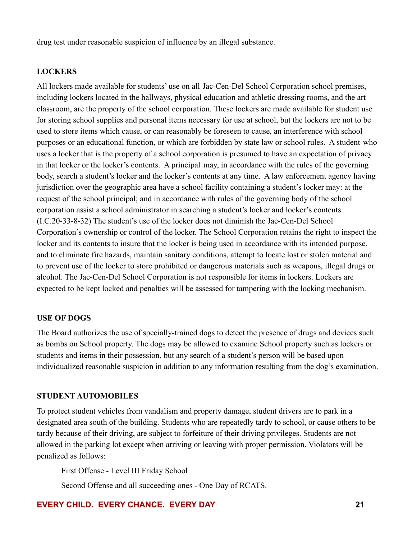drug test under reasonable suspicion of influence by an illegal substance.

#### **LOCKERS**

All lockers made available for students' use on all Jac-Cen-Del School Corporation school premises, including lockers located in the hallways, physical education and athletic dressing rooms, and the art classroom, are the property of the school corporation. These lockers are made available for student use for storing school supplies and personal items necessary for use at school, but the lockers are not to be used to store items which cause, or can reasonably be foreseen to cause, an interference with school purposes or an educational function, or which are forbidden by state law or school rules. A student who uses a locker that is the property of a school corporation is presumed to have an expectation of privacy in that locker or the locker's contents. A principal may, in accordance with the rules of the governing body, search a student's locker and the locker's contents at any time. A law enforcement agency having jurisdiction over the geographic area have a school facility containing a student's locker may: at the request of the school principal; and in accordance with rules of the governing body of the school corporation assist a school administrator in searching a student's locker and locker's contents. (I.C.20-33-8-32) The student's use of the locker does not diminish the Jac-Cen-Del School Corporation's ownership or control of the locker. The School Corporation retains the right to inspect the locker and its contents to insure that the locker is being used in accordance with its intended purpose, and to eliminate fire hazards, maintain sanitary conditions, attempt to locate lost or stolen material and to prevent use of the locker to store prohibited or dangerous materials such as weapons, illegal drugs or alcohol. The Jac-Cen-Del School Corporation is not responsible for items in lockers. Lockers are expected to be kept locked and penalties will be assessed for tampering with the locking mechanism.

#### **USE OF DOGS**

The Board authorizes the use of specially-trained dogs to detect the presence of drugs and devices such as bombs on School property. The dogs may be allowed to examine School property such as lockers or students and items in their possession, but any search of a student's person will be based upon individualized reasonable suspicion in addition to any information resulting from the dog's examination.

#### **STUDENT AUTOMOBILES**

To protect student vehicles from vandalism and property damage, student drivers are to park in a designated area south of the building. Students who are repeatedly tardy to school, or cause others to be tardy because of their driving, are subject to forfeiture of their driving privileges. Students are not allowed in the parking lot except when arriving or leaving with proper permission. Violators will be penalized as follows:

First Offense - Level III Friday School

Second Offense and all succeeding ones - One Day of RCATS.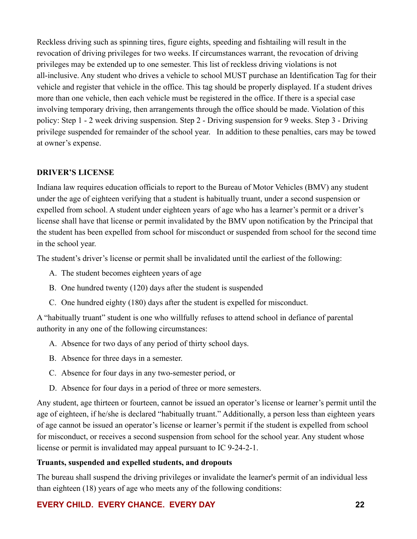Reckless driving such as spinning tires, figure eights, speeding and fishtailing will result in the revocation of driving privileges for two weeks. If circumstances warrant, the revocation of driving privileges may be extended up to one semester. This list of reckless driving violations is not all-inclusive. Any student who drives a vehicle to school MUST purchase an Identification Tag for their vehicle and register that vehicle in the office. This tag should be properly displayed. If a student drives more than one vehicle, then each vehicle must be registered in the office. If there is a special case involving temporary driving, then arrangements through the office should be made. Violation of this policy: Step 1 - 2 week driving suspension. Step 2 - Driving suspension for 9 weeks. Step 3 - Driving privilege suspended for remainder of the school year. In addition to these penalties, cars may be towed at owner's expense.

### **DRIVER'S LICENSE**

Indiana law requires education officials to report to the Bureau of Motor Vehicles (BMV) any student under the age of eighteen verifying that a student is habitually truant, under a second suspension or expelled from school. A student under eighteen years of age who has a learner's permit or a driver's license shall have that license or permit invalidated by the BMV upon notification by the Principal that the student has been expelled from school for misconduct or suspended from school for the second time in the school year.

The student's driver's license or permit shall be invalidated until the earliest of the following:

- A. The student becomes eighteen years of age
- B. One hundred twenty (120) days after the student is suspended
- C. One hundred eighty (180) days after the student is expelled for misconduct.

A "habitually truant" student is one who willfully refuses to attend school in defiance of parental authority in any one of the following circumstances:

- A. Absence for two days of any period of thirty school days.
- B. Absence for three days in a semester.
- C. Absence for four days in any two-semester period, or
- D. Absence for four days in a period of three or more semesters.

Any student, age thirteen or fourteen, cannot be issued an operator's license or learner's permit until the age of eighteen, if he/she is declared "habitually truant." Additionally, a person less than eighteen years of age cannot be issued an operator's license or learner's permit if the student is expelled from school for misconduct, or receives a second suspension from school for the school year. Any student whose license or permit is invalidated may appeal pursuant to IC 9-24-2-1.

### **Truants, suspended and expelled students, and dropouts**

The bureau shall suspend the driving privileges or invalidate the learner's permit of an individual less than eighteen (18) years of age who meets any of the following conditions: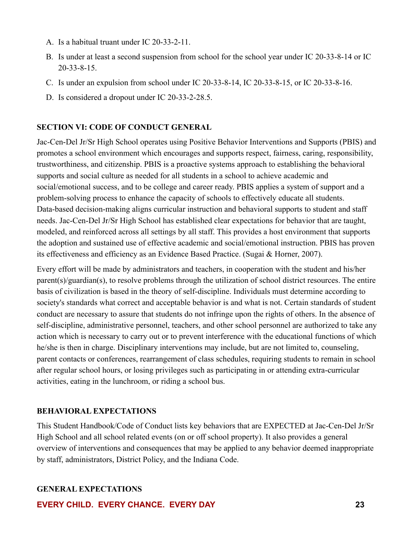- A. Is a habitual truant under IC 20-33-2-11.
- B. Is under at least a second suspension from school for the school year under IC 20-33-8-14 or IC 20-33-8-15.
- C. Is under an expulsion from school under IC 20-33-8-14, IC 20-33-8-15, or IC 20-33-8-16.
- D. Is considered a dropout under IC 20-33-2-28.5.

#### **SECTION VI: CODE OF CONDUCT GENERAL**

Jac-Cen-Del Jr/Sr High School operates using Positive Behavior Interventions and Supports (PBIS) and promotes a school environment which encourages and supports respect, fairness, caring, responsibility, trustworthiness, and citizenship. PBIS is a proactive systems approach to establishing the behavioral supports and social culture as needed for all students in a school to achieve academic and social/emotional success, and to be college and career ready. PBIS applies a system of support and a problem-solving process to enhance the capacity of schools to effectively educate all students. Data-based decision-making aligns curricular instruction and behavioral supports to student and staff needs. Jac-Cen-Del Jr/Sr High School has established clear expectations for behavior that are taught, modeled, and reinforced across all settings by all staff. This provides a host environment that supports the adoption and sustained use of effective academic and social/emotional instruction. PBIS has proven its effectiveness and efficiency as an Evidence Based Practice. (Sugai & Horner, 2007).

Every effort will be made by administrators and teachers, in cooperation with the student and his/her parent(s)/guardian(s), to resolve problems through the utilization of school district resources. The entire basis of civilization is based in the theory of self-discipline. Individuals must determine according to society's standards what correct and acceptable behavior is and what is not. Certain standards of student conduct are necessary to assure that students do not infringe upon the rights of others. In the absence of self-discipline, administrative personnel, teachers, and other school personnel are authorized to take any action which is necessary to carry out or to prevent interference with the educational functions of which he/she is then in charge. Disciplinary interventions may include, but are not limited to, counseling, parent contacts or conferences, rearrangement of class schedules, requiring students to remain in school after regular school hours, or losing privileges such as participating in or attending extra-curricular activities, eating in the lunchroom, or riding a school bus.

#### **BEHAVIORAL EXPECTATIONS**

This Student Handbook/Code of Conduct lists key behaviors that are EXPECTED at Jac-Cen-Del Jr/Sr High School and all school related events (on or off school property). It also provides a general overview of interventions and consequences that may be applied to any behavior deemed inappropriate by staff, administrators, District Policy, and the Indiana Code.

#### **GENERAL EXPECTATIONS**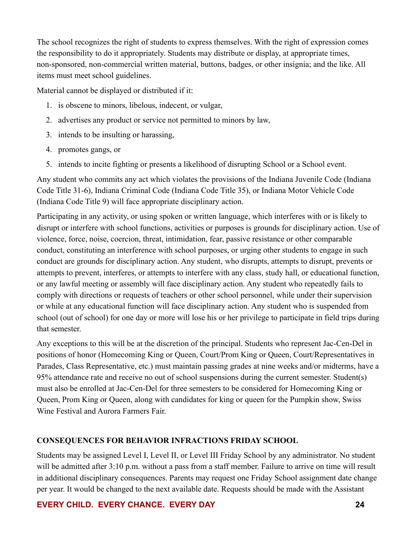The school recognizes the right of students to express themselves. With the right of expression comes the responsibility to do it appropriately. Students may distribute or display, at appropriate times, non-sponsored, non-commercial written material, buttons, badges, or other insignia; and the like. All items must meet school guidelines.

Material cannot be displayed or distributed if it:

- 1. is obscene to minors, libelous, indecent, or vulgar,
- 2. advertises any product or service not permitted to minors by law,
- 3. intends to be insulting or harassing,
- 4. promotes gangs, or
- 5. intends to incite fighting or presents a likelihood of disrupting School or a School event.

Any student who commits any act which violates the provisions of the Indiana Juvenile Code (Indiana Code Title 31-6), Indiana Criminal Code (Indiana Code Title 35), or Indiana Motor Vehicle Code (Indiana Code Title 9) will face appropriate disciplinary action.

Participating in any activity, or using spoken or written language, which interferes with or is likely to disrupt or interfere with school functions, activities or purposes is grounds for disciplinary action. Use of violence, force, noise, coercion, threat, intimidation, fear, passive resistance or other comparable conduct, constituting an interference with school purposes, or urging other students to engage in such conduct are grounds for disciplinary action. Any student, who disrupts, attempts to disrupt, prevents or attempts to prevent, interferes, or attempts to interfere with any class, study hall, or educational function, or any lawful meeting or assembly will face disciplinary action. Any student who repeatedly fails to comply with directions or requests of teachers or other school personnel, while under their supervision or while at any educational function will face disciplinary action. Any student who is suspended from school (out of school) for one day or more will lose his or her privilege to participate in field trips during that semester.

Any exceptions to this will be at the discretion of the principal. Students who represent Jac-Cen-Del in positions of honor (Homecoming King or Queen, Court/Prom King or Queen, Court/Representatives in Parades, Class Representative, etc.) must maintain passing grades at nine weeks and/or midterms, have a 95% attendance rate and receive no out of school suspensions during the current semester. Student(s) must also be enrolled at Jac-Cen-Del for three semesters to be considered for Homecoming King or Queen, Prom King or Queen, along with candidates for king or queen for the Pumpkin show, Swiss Wine Festival and Aurora Farmers Fair.

# **CONSEQUENCES FOR BEHAVIOR INFRACTIONS FRIDAY SCHOOL**

Students may be assigned Level I, Level II, or Level III Friday School by any administrator. No student will be admitted after 3:10 p.m. without a pass from a staff member. Failure to arrive on time will result in additional disciplinary consequences. Parents may request one Friday School assignment date change per year. It would be changed to the next available date. Requests should be made with the Assistant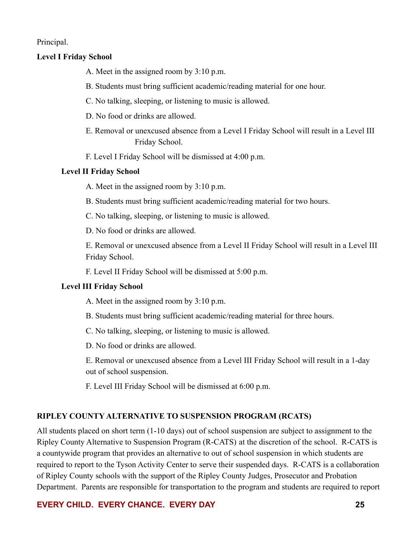Principal.

#### **Level I Friday School**

- A. Meet in the assigned room by 3:10 p.m.
- B. Students must bring sufficient academic/reading material for one hour.
- C. No talking, sleeping, or listening to music is allowed.
- D. No food or drinks are allowed.
- E. Removal or unexcused absence from a Level I Friday School will result in a Level III Friday School.
- F. Level I Friday School will be dismissed at 4:00 p.m.

#### **Level II Friday School**

- A. Meet in the assigned room by 3:10 p.m.
- B. Students must bring sufficient academic/reading material for two hours.
- C. No talking, sleeping, or listening to music is allowed.
- D. No food or drinks are allowed.

E. Removal or unexcused absence from a Level II Friday School will result in a Level III Friday School.

F. Level II Friday School will be dismissed at 5:00 p.m.

### **Level III Friday School**

- A. Meet in the assigned room by 3:10 p.m.
- B. Students must bring sufficient academic/reading material for three hours.
- C. No talking, sleeping, or listening to music is allowed.
- D. No food or drinks are allowed.

E. Removal or unexcused absence from a Level III Friday School will result in a 1-day out of school suspension.

F. Level III Friday School will be dismissed at 6:00 p.m.

### **RIPLEY COUNTY ALTERNATIVE TO SUSPENSION PROGRAM (RCATS)**

All students placed on short term (1-10 days) out of school suspension are subject to assignment to the Ripley County Alternative to Suspension Program (R-CATS) at the discretion of the school. R-CATS is a countywide program that provides an alternative to out of school suspension in which students are required to report to the Tyson Activity Center to serve their suspended days. R-CATS is a collaboration of Ripley County schools with the support of the Ripley County Judges, Prosecutor and Probation Department. Parents are responsible for transportation to the program and students are required to report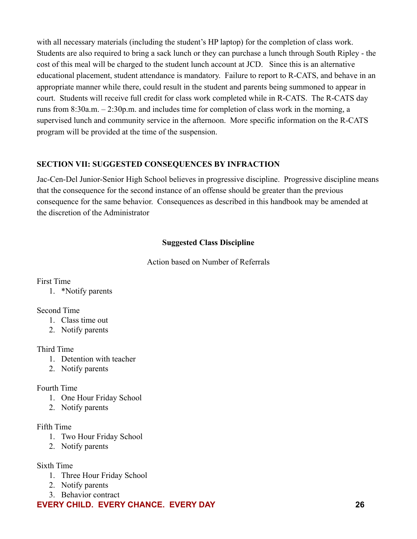with all necessary materials (including the student's HP laptop) for the completion of class work. Students are also required to bring a sack lunch or they can purchase a lunch through South Ripley - the cost of this meal will be charged to the student lunch account at JCD. Since this is an alternative educational placement, student attendance is mandatory. Failure to report to R-CATS, and behave in an appropriate manner while there, could result in the student and parents being summoned to appear in court. Students will receive full credit for class work completed while in R-CATS. The R-CATS day runs from 8:30a.m. – 2:30p.m. and includes time for completion of class work in the morning, a supervised lunch and community service in the afternoon. More specific information on the R-CATS program will be provided at the time of the suspension.

### **SECTION VII: SUGGESTED CONSEQUENCES BY INFRACTION**

Jac-Cen-Del Junior-Senior High School believes in progressive discipline. Progressive discipline means that the consequence for the second instance of an offense should be greater than the previous consequence for the same behavior. Consequences as described in this handbook may be amended at the discretion of the Administrator

### **Suggested Class Discipline**

Action based on Number of Referrals

<span id="page-25-0"></span>First Time

1. \*Notify parents

### Second Time

- 1. Class time out
- 2. Notify parents

# Third Time

- 1. Detention with teacher
- 2. Notify parents

### Fourth Time

- 1. One Hour Friday School
- 2. Notify parents

### Fifth Time

- 1. Two Hour Friday School
- 2. Notify parents
- Sixth Time
	- 1. Three Hour Friday School
	- 2. Notify parents
	- 3. Behavior contract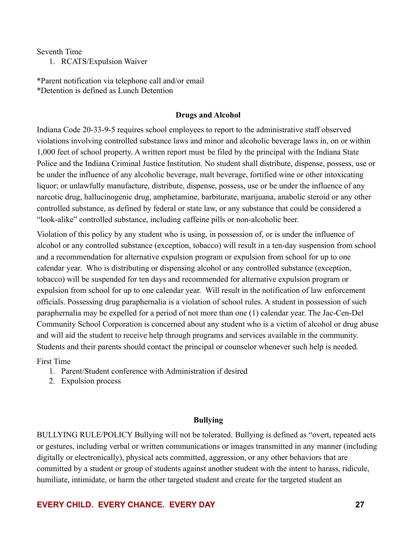Seventh Time

1. RCATS/Expulsion Waiver

<span id="page-26-0"></span>\*Parent notification via telephone call and/or email \*Detention is defined as Lunch Detention

#### **Drugs and Alcohol**

Indiana Code 20-33-9-5 requires school employees to report to the administrative staff observed violations involving controlled substance laws and minor and alcoholic beverage laws in, on or within 1,000 feet of school property. A written report must be filed by the principal with the Indiana State Police and the Indiana Criminal Justice Institution. No student shall distribute, dispense, possess, use or be under the influence of any alcoholic beverage, malt beverage, fortified wine or other intoxicating liquor; or unlawfully manufacture, distribute, dispense, possess, use or be under the influence of any narcotic drug, hallucinogenic drug, amphetamine, barbiturate, marijuana, anabolic steroid or any other controlled substance, as defined by federal or state law, or any substance that could be considered a "look-alike" controlled substance, including caffeine pills or non-alcoholic beer.

Violation of this policy by any student who is using, in possession of, or is under the influence of alcohol or any controlled substance (exception, tobacco) will result in a ten-day suspension from school and a recommendation for alternative expulsion program or expulsion from school for up to one calendar year. Who is distributing or dispensing alcohol or any controlled substance (exception, tobacco) will be suspended for ten days and recommended for alternative expulsion program or expulsion from school for up to one calendar year. Will result in the notification of law enforcement officials. Possessing drug paraphernalia is a violation of school rules. A student in possession of such paraphernalia may be expelled for a period of not more than one (1) calendar year. The Jac-Cen-Del Community School Corporation is concerned about any student who is a victim of alcohol or drug abuse and will aid the student to receive help through programs and services available in the community. Students and their parents should contact the principal or counselor whenever such help is needed.

First Time

- 1. Parent/Student conference with Administration if desired
- 2. Expulsion process

#### **Bullying**

BULLYING RULE/POLICY Bullying will not be tolerated. Bullying is defined as "overt, repeated acts or gestures, including verbal or written communications or images transmitted in any manner (including digitally or electronically), physical acts committed, aggression, or any other behaviors that are committed by a student or group of students against another student with the intent to harass, ridicule, humiliate, intimidate, or harm the other targeted student and create for the targeted student an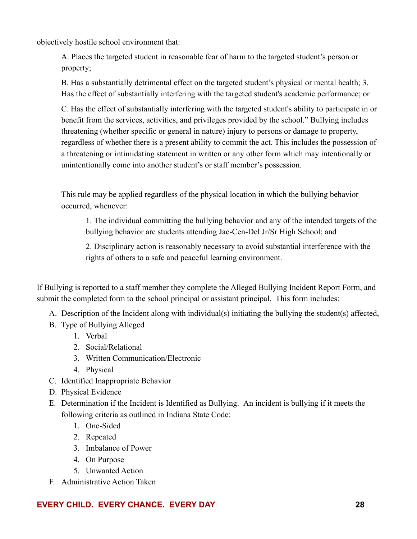objectively hostile school environment that:

A. Places the targeted student in reasonable fear of harm to the targeted student's person or property;

B. Has a substantially detrimental effect on the targeted student's physical or mental health; 3. Has the effect of substantially interfering with the targeted student's academic performance; or

C. Has the effect of substantially interfering with the targeted student's ability to participate in or benefit from the services, activities, and privileges provided by the school." Bullying includes threatening (whether specific or general in nature) injury to persons or damage to property, regardless of whether there is a present ability to commit the act. This includes the possession of a threatening or intimidating statement in written or any other form which may intentionally or unintentionally come into another student's or staff member's possession.

This rule may be applied regardless of the physical location in which the bullying behavior occurred, whenever:

1. The individual committing the bullying behavior and any of the intended targets of the bullying behavior are students attending Jac-Cen-Del Jr/Sr High School; and

2. Disciplinary action is reasonably necessary to avoid substantial interference with the rights of others to a safe and peaceful learning environment.

If Bullying is reported to a staff member they complete the Alleged Bullying Incident Report Form, and submit the completed form to the school principal or assistant principal. This form includes:

- A. Description of the Incident along with individual(s) initiating the bullying the student(s) affected,
- B. Type of Bullying Alleged
	- 1. Verbal
	- 2. Social/Relational
	- 3. Written Communication/Electronic
	- 4. Physical
- C. Identified Inappropriate Behavior
- D. Physical Evidence
- E. Determination if the Incident is Identified as Bullying. An incident is bullying if it meets the following criteria as outlined in Indiana State Code:
	- 1. One-Sided
	- 2. Repeated
	- 3. Imbalance of Power
	- 4. On Purpose
	- 5. Unwanted Action
- F. Administrative Action Taken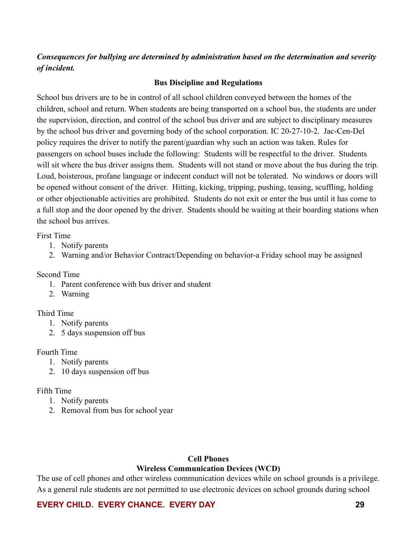# *Consequences for bullying are determined by administration based on the determination and severity of incident.*

#### **Bus Discipline and Regulations**

School bus drivers are to be in control of all school children conveyed between the homes of the children, school and return. When students are being transported on a school bus, the students are under the supervision, direction, and control of the school bus driver and are subject to disciplinary measures by the school bus driver and governing body of the school corporation. IC 20-27-10-2. Jac-Cen-Del policy requires the driver to notify the parent/guardian why such an action was taken. Rules for passengers on school buses include the following: Students will be respectful to the driver. Students will sit where the bus driver assigns them. Students will not stand or move about the bus during the trip. Loud, boisterous, profane language or indecent conduct will not be tolerated. No windows or doors will be opened without consent of the driver. Hitting, kicking, tripping, pushing, teasing, scuffling, holding or other objectionable activities are prohibited. Students do not exit or enter the bus until it has come to a full stop and the door opened by the driver. Students should be waiting at their boarding stations when the school bus arrives.

First Time

- 1. Notify parents
- 2. Warning and/or Behavior Contract/Depending on behavior-a Friday school may be assigned

#### Second Time

- 1. Parent conference with bus driver and student
- 2. Warning

#### Third Time

- 1. Notify parents
- 2. 5 days suspension off bus

#### Fourth Time

- 1. Notify parents
- 2. 10 days suspension off bus

#### Fifth Time

- 1. Notify parents
- 2. Removal from bus for school year

#### **Cell Phones Wireless Communication Devices (WCD)**

<span id="page-28-1"></span><span id="page-28-0"></span>The use of cell phones and other wireless communication devices while on school grounds is a privilege. As a general rule students are not permitted to use electronic devices on school grounds during school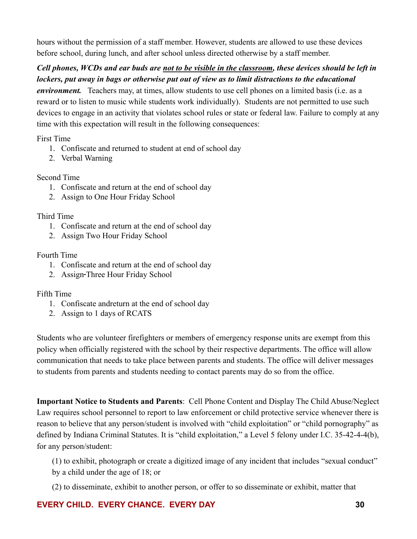hours without the permission of a staff member. However, students are allowed to use these devices before school, during lunch, and after school unless directed otherwise by a staff member.

# *Cell phones, WCDs and ear buds are not to be visible in the classroom, these devices should be left in lockers, put away in bags or otherwise put out of view as to limit distractions to the educational*

*environment.* Teachers may, at times, allow students to use cell phones on a limited basis (i.e. as a reward or to listen to music while students work individually). Students are not permitted to use such devices to engage in an activity that violates school rules or state or federal law. Failure to comply at any time with this expectation will result in the following consequences:

First Time

- 1. Confiscate and returned to student at end of school day
- 2. Verbal Warning

# Second Time

- 1. Confiscate and return at the end of school day
- 2. Assign to One Hour Friday School

### Third Time

- 1. Confiscate and return at the end of school day
- 2. Assign Two Hour Friday School

### Fourth Time

- 1. Confiscate and return at the end of school day
- 2. Assign-Three Hour Friday School

### Fifth Time

- 1. Confiscate andreturn at the end of school day
- 2. Assign to 1 days of RCATS

Students who are volunteer firefighters or members of emergency response units are exempt from this policy when officially registered with the school by their respective departments. The office will allow communication that needs to take place between parents and students. The office will deliver messages to students from parents and students needing to contact parents may do so from the office.

**Important Notice to Students and Parents**: Cell Phone Content and Display The Child Abuse/Neglect Law requires school personnel to report to law enforcement or child protective service whenever there is reason to believe that any person/student is involved with "child exploitation" or "child pornography" as defined by Indiana Criminal Statutes. It is "child exploitation," a Level 5 felony under I.C. 35-42-4-4(b), for any person/student:

(1) to exhibit, photograph or create a digitized image of any incident that includes "sexual conduct" by a child under the age of 18; or

(2) to disseminate, exhibit to another person, or offer to so disseminate or exhibit, matter that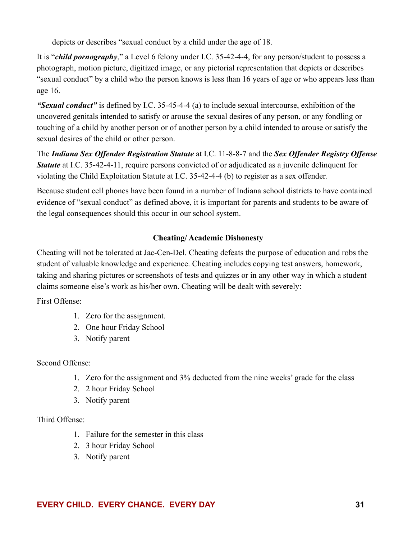depicts or describes "sexual conduct by a child under the age of 18.

It is "*child pornography*," a Level 6 felony under I.C. 35-42-4-4, for any person/student to possess a photograph, motion picture, digitized image, or any pictorial representation that depicts or describes "sexual conduct" by a child who the person knows is less than 16 years of age or who appears less than age 16.

*"Sexual conduct"* is defined by I.C. 35-45-4-4 (a) to include sexual intercourse, exhibition of the uncovered genitals intended to satisfy or arouse the sexual desires of any person, or any fondling or touching of a child by another person or of another person by a child intended to arouse or satisfy the sexual desires of the child or other person.

The *Indiana Sex Offender Registration Statute* at I.C. 11-8-8-7 and the *Sex Offender Registry Offense Statute* at I.C. 35-42-4-11, require persons convicted of or adjudicated as a juvenile delinquent for violating the Child Exploitation Statute at I.C. 35-42-4-4 (b) to register as a sex offender.

Because student cell phones have been found in a number of Indiana school districts to have contained evidence of "sexual conduct" as defined above, it is important for parents and students to be aware of the legal consequences should this occur in our school system.

# **Cheating/ Academic Dishonesty**

Cheating will not be tolerated at Jac-Cen-Del. Cheating defeats the purpose of education and robs the student of valuable knowledge and experience. Cheating includes copying test answers, homework, taking and sharing pictures or screenshots of tests and quizzes or in any other way in which a student claims someone else's work as his/her own. Cheating will be dealt with severely:

First Offense:

- 1. Zero for the assignment.
- 2. One hour Friday School
- 3. Notify parent

# Second Offense:

- 1. Zero for the assignment and 3% deducted from the nine weeks' grade for the class
- 2. 2 hour Friday School
- 3. Notify parent

# Third Offense:

- 1. Failure for the semester in this class
- 2. 3 hour Friday School
- 3. Notify parent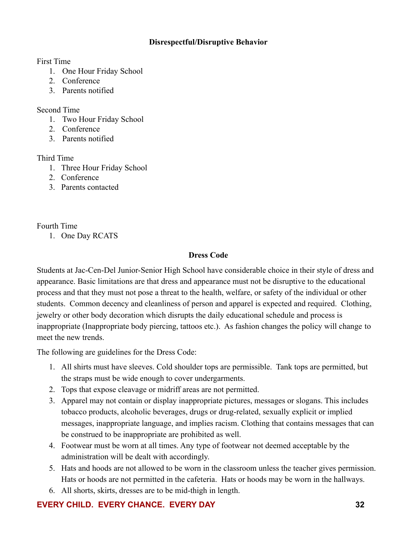### **Disrespectful/Disruptive Behavior**

First Time

- 1. One Hour Friday School
- 2. Conference
- 3. Parents notified

Second Time

- 1. Two Hour Friday School
- 2. Conference
- 3. Parents notified

Third Time

- 1. Three Hour Friday School
- 2. Conference
- 3. Parents contacted

Fourth Time

1. One Day RCATS

### **Dress Code**

Students at Jac-Cen-Del Junior-Senior High School have considerable choice in their style of dress and appearance. Basic limitations are that dress and appearance must not be disruptive to the educational process and that they must not pose a threat to the health, welfare, or safety of the individual or other students. Common decency and cleanliness of person and apparel is expected and required. Clothing, jewelry or other body decoration which disrupts the daily educational schedule and process is inappropriate (Inappropriate body piercing, tattoos etc.). As fashion changes the policy will change to meet the new trends.

The following are guidelines for the Dress Code:

- 1. All shirts must have sleeves. Cold shoulder tops are permissible. Tank tops are permitted, but the straps must be wide enough to cover undergarments.
- 2. Tops that expose cleavage or midriff areas are not permitted.
- 3. Apparel may not contain or display inappropriate pictures, messages or slogans. This includes tobacco products, alcoholic beverages, drugs or drug-related, sexually explicit or implied messages, inappropriate language, and implies racism. Clothing that contains messages that can be construed to be inappropriate are prohibited as well.
- 4. Footwear must be worn at all times. Any type of footwear not deemed acceptable by the administration will be dealt with accordingly.
- 5. Hats and hoods are not allowed to be worn in the classroom unless the teacher gives permission. Hats or hoods are not permitted in the cafeteria. Hats or hoods may be worn in the hallways.
- 6. All shorts, skirts, dresses are to be mid-thigh in length.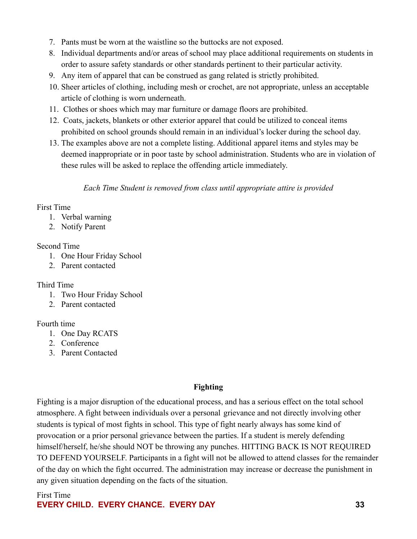- 7. Pants must be worn at the waistline so the buttocks are not exposed.
- 8. Individual departments and/or areas of school may place additional requirements on students in order to assure safety standards or other standards pertinent to their particular activity.
- 9. Any item of apparel that can be construed as gang related is strictly prohibited.
- 10. Sheer articles of clothing, including mesh or crochet, are not appropriate, unless an acceptable article of clothing is worn underneath.
- 11. Clothes or shoes which may mar furniture or damage floors are prohibited.
- 12. Coats, jackets, blankets or other exterior apparel that could be utilized to conceal items prohibited on school grounds should remain in an individual's locker during the school day.
- 13. The examples above are not a complete listing. Additional apparel items and styles may be deemed inappropriate or in poor taste by school administration. Students who are in violation of these rules will be asked to replace the offending article immediately.

*Each Time Student is removed from class until appropriate attire is provided*

# First Time

- 1. Verbal warning
- 2. Notify Parent

# Second Time

- 1. One Hour Friday School
- 2. Parent contacted

# Third Time

- 1. Two Hour Friday School
- 2. Parent contacted

# Fourth time

- 1. One Day RCATS
- 2. Conference
- 3. Parent Contacted

# **Fighting**

Fighting is a major disruption of the educational process, and has a serious effect on the total school atmosphere. A fight between individuals over a personal grievance and not directly involving other students is typical of most fights in school. This type of fight nearly always has some kind of provocation or a prior personal grievance between the parties. If a student is merely defending himself/herself, he/she should NOT be throwing any punches. HITTING BACK IS NOT REQUIRED TO DEFEND YOURSELF. Participants in a fight will not be allowed to attend classes for the remainder of the day on which the fight occurred. The administration may increase or decrease the punishment in any given situation depending on the facts of the situation.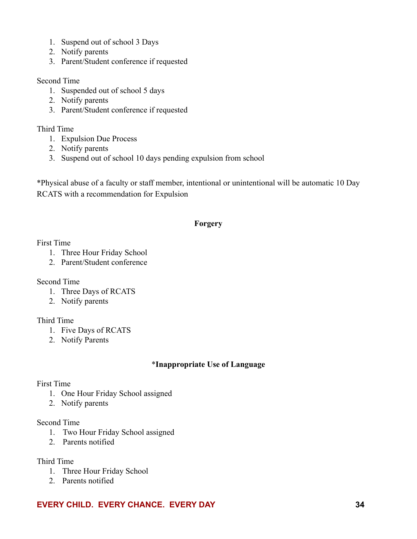- 1. Suspend out of school 3 Days
- 2. Notify parents
- 3. Parent/Student conference if requested

#### Second Time

- 1. Suspended out of school 5 days
- 2. Notify parents
- 3. Parent/Student conference if requested

### Third Time

- 1. Expulsion Due Process
- 2. Notify parents
- 3. Suspend out of school 10 days pending expulsion from school

\*Physical abuse of a faculty or staff member, intentional or unintentional will be automatic 10 Day RCATS with a recommendation for Expulsion

# **Forgery**

### <span id="page-33-0"></span>First Time

- 1. Three Hour Friday School
- 2. Parent/Student conference

### Second Time

- 1. Three Days of RCATS
- 2. Notify parents

### Third Time

- 1. Five Days of RCATS
- 2. Notify Parents

# \***Inappropriate Use of Language**

### <span id="page-33-1"></span>First Time

- 1. One Hour Friday School assigned
- 2. Notify parents

### Second Time

- 1. Two Hour Friday School assigned
- 2. Parents notified

### Third Time

- 1. Three Hour Friday School
- 2. Parents notified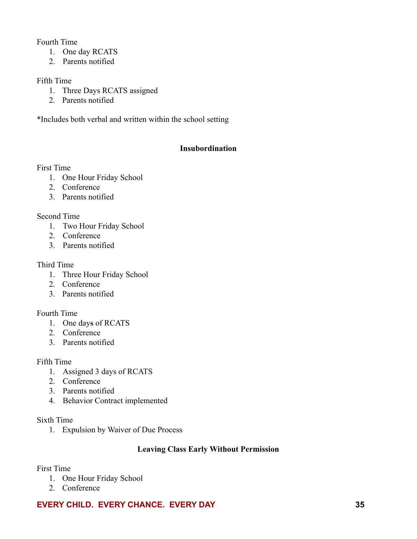### Fourth Time

- 1. One day RCATS
- 2. Parents notified

### Fifth Time

- 1. Three Days RCATS assigned
- 2. Parents notified

<span id="page-34-0"></span>\*Includes both verbal and written within the school setting

### **Insubordination**

### First Time

- 1. One Hour Friday School
- 2. Conference
- 3. Parents notified

### Second Time

- 1. Two Hour Friday School
- 2. Conference
- 3. Parents notified

### Third Time

- 1. Three Hour Friday School
- 2. Conference
- 3. Parents notified

### Fourth Time

- 1. One days of RCATS
- 2. Conference
- 3. Parents notified

### Fifth Time

- 1. Assigned 3 days of RCATS
- 2. Conference
- 3. Parents notified
- 4. Behavior Contract implemented

### Sixth Time

1. Expulsion by Waiver of Due Process

### **Leaving Class Early Without Permission**

### First Time

- 1. One Hour Friday School
- 2. Conference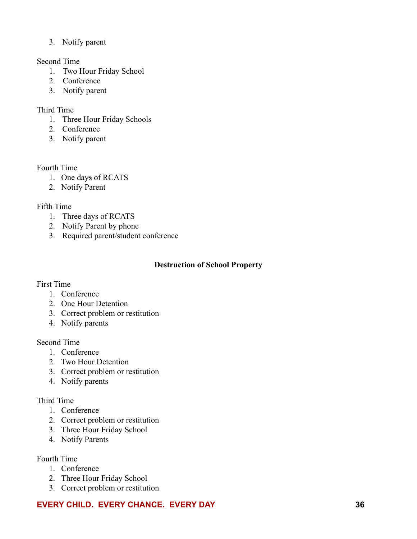3. Notify parent

### Second Time

- 1. Two Hour Friday School
- 2. Conference
- 3. Notify parent

# Third Time

- 1. Three Hour Friday Schools
- 2. Conference
- 3. Notify parent

### Fourth Time

- 1. One days of RCATS
- 2. Notify Parent

### Fifth Time

- 1. Three days of RCATS
- 2. Notify Parent by phone
- <span id="page-35-0"></span>3. Required parent/student conference

### **Destruction of School Property**

# First Time

- 1. Conference
- 2. One Hour Detention
- 3. Correct problem or restitution
- 4. Notify parents

### Second Time

- 1. Conference
- 2. Two Hour Detention
- 3. Correct problem or restitution
- 4. Notify parents

# Third Time

- 1. Conference
- 2. Correct problem or restitution
- 3. Three Hour Friday School
- 4. Notify Parents

# Fourth Time

- 1. Conference
- 2. Three Hour Friday School
- 3. Correct problem or restitution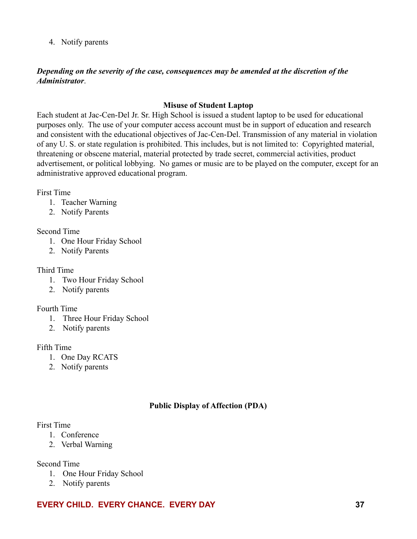4. Notify parents

### *Depending on the severity of the case, consequences may be amended at the discretion of the Administrator*.

### **Misuse of Student Laptop**

Each student at Jac-Cen-Del Jr. Sr. High School is issued a student laptop to be used for educational purposes only. The use of your computer access account must be in support of education and research and consistent with the educational objectives of Jac-Cen-Del. Transmission of any material in violation of any U. S. or state regulation is prohibited. This includes, but is not limited to: Copyrighted material, threatening or obscene material, material protected by trade secret, commercial activities, product advertisement, or political lobbying. No games or music are to be played on the computer, except for an administrative approved educational program.

First Time

- 1. Teacher Warning
- 2. Notify Parents

### Second Time

- 1. One Hour Friday School
- 2. Notify Parents

### Third Time

- 1. Two Hour Friday School
- 2. Notify parents

### Fourth Time

- 1. Three Hour Friday School
- 2. Notify parents

### Fifth Time

- 1. One Day RCATS
- 2. Notify parents

# **Public Display of Affection (PDA)**

### First Time

- 1. Conference
- 2. Verbal Warning

Second Time

- 1. One Hour Friday School
- 2. Notify parents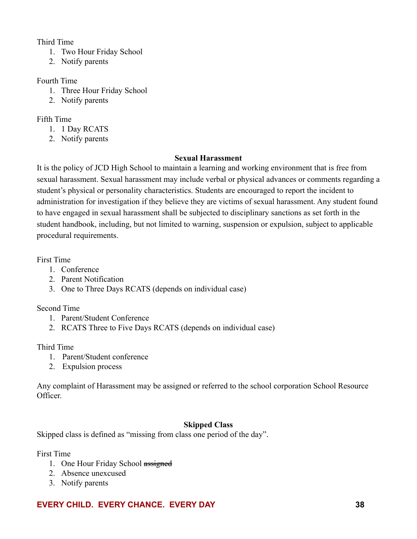### Third Time

- 1. Two Hour Friday School
- 2. Notify parents

### Fourth Time

- 1. Three Hour Friday School
- 2. Notify parents

### Fifth Time

- 1. 1 Day RCATS
- 2. Notify parents

### **Sexual Harassment**

It is the policy of JCD High School to maintain a learning and working environment that is free from sexual harassment. Sexual harassment may include verbal or physical advances or comments regarding a student's physical or personality characteristics. Students are encouraged to report the incident to administration for investigation if they believe they are victims of sexual harassment. Any student found to have engaged in sexual harassment shall be subjected to disciplinary sanctions as set forth in the student handbook, including, but not limited to warning, suspension or expulsion, subject to applicable procedural requirements.

First Time

- 1. Conference
- 2. Parent Notification
- 3. One to Three Days RCATS (depends on individual case)

### Second Time

- 1. Parent/Student Conference
- 2. RCATS Three to Five Days RCATS (depends on individual case)

### Third Time

- 1. Parent/Student conference
- 2. Expulsion process

Any complaint of Harassment may be assigned or referred to the school corporation School Resource Officer.

# **Skipped Class**

Skipped class is defined as "missing from class one period of the day".

First Time

- 1. One Hour Friday School assigned
- 2. Absence unexcused
- 3. Notify parents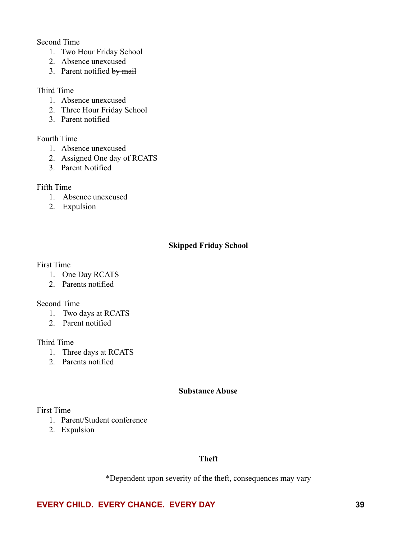Second Time

- 1. Two Hour Friday School
- 2. Absence unexcused
- 3. Parent notified by mail

#### Third Time

- 1. Absence unexcused
- 2. Three Hour Friday School
- 3. Parent notified

### Fourth Time

- 1. Absence unexcused
- 2. Assigned One day of RCATS
- 3. Parent Notified

### Fifth Time

- 1. Absence unexcused
- 2. Expulsion

### **Skipped Friday School**

#### First Time

- 1. One Day RCATS
- 2. Parents notified

#### Second Time

- 1. Two days at RCATS
- 2. Parent notified

#### Third Time

- 1. Three days at RCATS
- 2. Parents notified

#### **Substance Abuse**

### First Time

- 1. Parent/Student conference
- 2. Expulsion

### **Theft**

\*Dependent upon severity of the theft, consequences may vary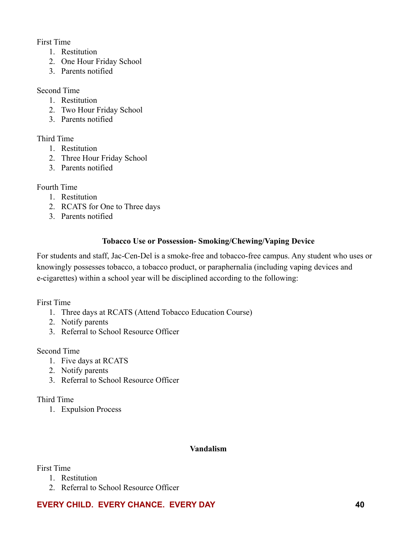First Time

- 1. Restitution
- 2. One Hour Friday School
- 3. Parents notified

Second Time

- 1. Restitution
- 2. Two Hour Friday School
- 3. Parents notified

### Third Time

- 1. Restitution
- 2. Three Hour Friday School
- 3. Parents notified

### Fourth Time

- 1. Restitution
- 2. RCATS for One to Three days
- 3. Parents notified

# **Tobacco Use or Possession- Smoking/Chewing/Vaping Device**

For students and staff, Jac-Cen-Del is a smoke-free and tobacco-free campus. Any student who uses or knowingly possesses tobacco, a tobacco product, or paraphernalia (including vaping devices and e-cigarettes) within a school year will be disciplined according to the following:

### First Time

- 1. Three days at RCATS (Attend Tobacco Education Course)
- 2. Notify parents
- 3. Referral to School Resource Officer

### Second Time

- 1. Five days at RCATS
- 2. Notify parents
- 3. Referral to School Resource Officer

### Third Time

1. Expulsion Process

### **Vandalism**

First Time

- 1. Restitution
- 2. Referral to School Resource Officer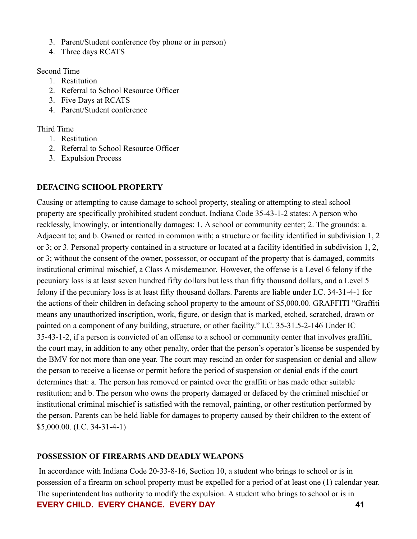- 3. Parent/Student conference (by phone or in person)
- 4. Three days RCATS

Second Time

- 1. Restitution
- 2. Referral to School Resource Officer
- 3. Five Days at RCATS
- 4. Parent/Student conference

Third Time

- 1. Restitution
- 2. Referral to School Resource Officer
- 3. Expulsion Process

#### **DEFACING SCHOOL PROPERTY**

Causing or attempting to cause damage to school property, stealing or attempting to steal school property are specifically prohibited student conduct. Indiana Code 35-43-1-2 states: A person who recklessly, knowingly, or intentionally damages: 1. A school or community center; 2. The grounds: a. Adjacent to; and b. Owned or rented in common with; a structure or facility identified in subdivision 1, 2 or 3; or 3. Personal property contained in a structure or located at a facility identified in subdivision 1, 2, or 3; without the consent of the owner, possessor, or occupant of the property that is damaged, commits institutional criminal mischief, a Class A misdemeanor. However, the offense is a Level 6 felony if the pecuniary loss is at least seven hundred fifty dollars but less than fifty thousand dollars, and a Level 5 felony if the pecuniary loss is at least fifty thousand dollars. Parents are liable under I.C. 34-31-4-1 for the actions of their children in defacing school property to the amount of \$5,000.00. GRAFFITI "Graffiti means any unauthorized inscription, work, figure, or design that is marked, etched, scratched, drawn or painted on a component of any building, structure, or other facility." I.C. 35-31.5-2-146 Under IC 35-43-1-2, if a person is convicted of an offense to a school or community center that involves graffiti, the court may, in addition to any other penalty, order that the person's operator's license be suspended by the BMV for not more than one year. The court may rescind an order for suspension or denial and allow the person to receive a license or permit before the period of suspension or denial ends if the court determines that: a. The person has removed or painted over the graffiti or has made other suitable restitution; and b. The person who owns the property damaged or defaced by the criminal mischief or institutional criminal mischief is satisfied with the removal, painting, or other restitution performed by the person. Parents can be held liable for damages to property caused by their children to the extent of \$5,000.00. (I.C. 34-31-4-1)

#### **POSSESSION OF FIREARMS AND DEADLY WEAPONS**

In accordance with Indiana Code 20-33-8-16, Section 10, a student who brings to school or is in possession of a firearm on school property must be expelled for a period of at least one (1) calendar year. The superintendent has authority to modify the expulsion. A student who brings to school or is in **EVERY CHILD. EVERY CHANCE. EVERY DAY 41**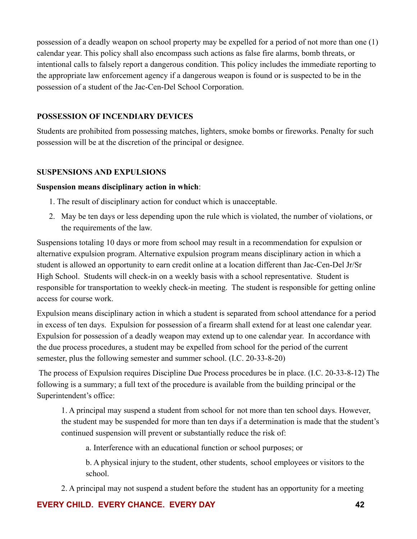possession of a deadly weapon on school property may be expelled for a period of not more than one (1) calendar year. This policy shall also encompass such actions as false fire alarms, bomb threats, or intentional calls to falsely report a dangerous condition. This policy includes the immediate reporting to the appropriate law enforcement agency if a dangerous weapon is found or is suspected to be in the possession of a student of the Jac-Cen-Del School Corporation.

#### **POSSESSION OF INCENDIARY DEVICES**

Students are prohibited from possessing matches, lighters, smoke bombs or fireworks. Penalty for such possession will be at the discretion of the principal or designee.

#### **SUSPENSIONS AND EXPULSIONS**

#### **Suspension means disciplinary action in which**:

- 1. The result of disciplinary action for conduct which is unacceptable.
- 2. May be ten days or less depending upon the rule which is violated, the number of violations, or the requirements of the law.

Suspensions totaling 10 days or more from school may result in a recommendation for expulsion or alternative expulsion program. Alternative expulsion program means disciplinary action in which a student is allowed an opportunity to earn credit online at a location different than Jac-Cen-Del Jr/Sr High School. Students will check-in on a weekly basis with a school representative. Student is responsible for transportation to weekly check-in meeting. The student is responsible for getting online access for course work.

Expulsion means disciplinary action in which a student is separated from school attendance for a period in excess of ten days. Expulsion for possession of a firearm shall extend for at least one calendar year. Expulsion for possession of a deadly weapon may extend up to one calendar year. In accordance with the due process procedures, a student may be expelled from school for the period of the current semester, plus the following semester and summer school. (I.C. 20-33-8-20)

The process of Expulsion requires Discipline Due Process procedures be in place. (I.C. 20-33-8-12) The following is a summary; a full text of the procedure is available from the building principal or the Superintendent's office:

1. A principal may suspend a student from school for not more than ten school days. However, the student may be suspended for more than ten days if a determination is made that the student's continued suspension will prevent or substantially reduce the risk of:

a. Interference with an educational function or school purposes; or

b. A physical injury to the student, other students, school employees or visitors to the school.

2. A principal may not suspend a student before the student has an opportunity for a meeting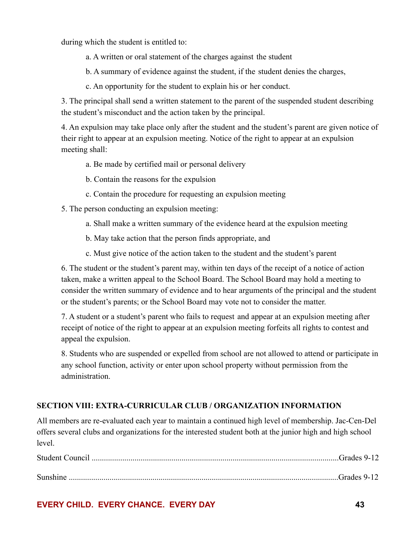during which the student is entitled to:

- a. A written or oral statement of the charges against the student
- b. A summary of evidence against the student, if the student denies the charges,
- c. An opportunity for the student to explain his or her conduct.

3. The principal shall send a written statement to the parent of the suspended student describing the student's misconduct and the action taken by the principal.

4. An expulsion may take place only after the student and the student's parent are given notice of their right to appear at an expulsion meeting. Notice of the right to appear at an expulsion meeting shall:

- a. Be made by certified mail or personal delivery
- b. Contain the reasons for the expulsion
- c. Contain the procedure for requesting an expulsion meeting

5. The person conducting an expulsion meeting:

- a. Shall make a written summary of the evidence heard at the expulsion meeting
- b. May take action that the person finds appropriate, and
- c. Must give notice of the action taken to the student and the student's parent

6. The student or the student's parent may, within ten days of the receipt of a notice of action taken, make a written appeal to the School Board. The School Board may hold a meeting to consider the written summary of evidence and to hear arguments of the principal and the student or the student's parents; or the School Board may vote not to consider the matter.

7. A student or a student's parent who fails to request and appear at an expulsion meeting after receipt of notice of the right to appear at an expulsion meeting forfeits all rights to contest and appeal the expulsion.

8. Students who are suspended or expelled from school are not allowed to attend or participate in any school function, activity or enter upon school property without permission from the administration.

### **SECTION VIII: EXTRA-CURRICULAR CLUB / ORGANIZATION INFORMATION**

All members are re-evaluated each year to maintain a continued high level of membership. Jac-Cen-Del offers several clubs and organizations for the interested student both at the junior high and high school level.

| Sunshine |  |
|----------|--|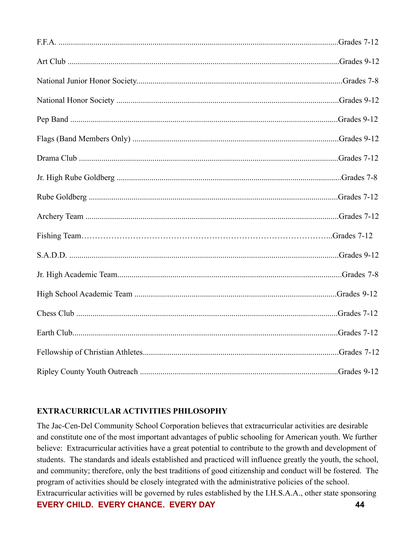### **EXTRACURRICULAR ACTIVITIES PHILOSOPHY**

The Jac-Cen-Del Community School Corporation believes that extracurricular activities are desirable and constitute one of the most important advantages of public schooling for American youth. We further believe: Extracurricular activities have a great potential to contribute to the growth and development of students. The standards and ideals established and practiced will influence greatly the youth, the school, and community; therefore, only the best traditions of good citizenship and conduct will be fostered. The program of activities should be closely integrated with the administrative policies of the school. Extracurricular activities will be governed by rules established by the I.H.S.A.A., other state sponsoring **EVERY CHILD. EVERY CHANCE. EVERY DAY 44**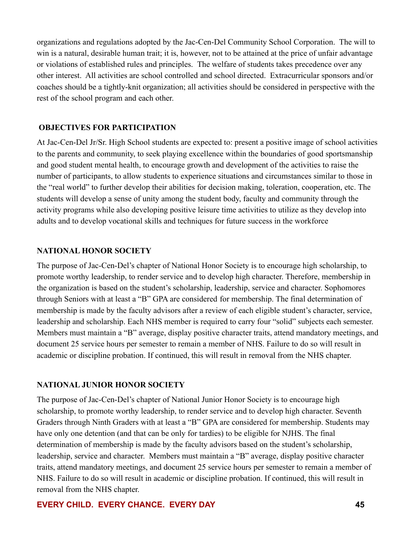organizations and regulations adopted by the Jac-Cen-Del Community School Corporation. The will to win is a natural, desirable human trait; it is, however, not to be attained at the price of unfair advantage or violations of established rules and principles. The welfare of students takes precedence over any other interest. All activities are school controlled and school directed. Extracurricular sponsors and/or coaches should be a tightly-knit organization; all activities should be considered in perspective with the rest of the school program and each other.

#### **OBJECTIVES FOR PARTICIPATION**

At Jac-Cen-Del Jr/Sr. High School students are expected to: present a positive image of school activities to the parents and community, to seek playing excellence within the boundaries of good sportsmanship and good student mental health, to encourage growth and development of the activities to raise the number of participants, to allow students to experience situations and circumstances similar to those in the "real world" to further develop their abilities for decision making, toleration, cooperation, etc. The students will develop a sense of unity among the student body, faculty and community through the activity programs while also developing positive leisure time activities to utilize as they develop into adults and to develop vocational skills and techniques for future success in the workforce

#### **NATIONAL HONOR SOCIETY**

The purpose of Jac-Cen-Del's chapter of National Honor Society is to encourage high scholarship, to promote worthy leadership, to render service and to develop high character. Therefore, membership in the organization is based on the student's scholarship, leadership, service and character. Sophomores through Seniors with at least a "B" GPA are considered for membership. The final determination of membership is made by the faculty advisors after a review of each eligible student's character, service, leadership and scholarship. Each NHS member is required to carry four "solid" subjects each semester. Members must maintain a "B" average, display positive character traits, attend mandatory meetings, and document 25 service hours per semester to remain a member of NHS. Failure to do so will result in academic or discipline probation. If continued, this will result in removal from the NHS chapter.

#### **NATIONAL JUNIOR HONOR SOCIETY**

The purpose of Jac-Cen-Del's chapter of National Junior Honor Society is to encourage high scholarship, to promote worthy leadership, to render service and to develop high character. Seventh Graders through Ninth Graders with at least a "B" GPA are considered for membership. Students may have only one detention (and that can be only for tardies) to be eligible for NJHS. The final determination of membership is made by the faculty advisors based on the student's scholarship, leadership, service and character. Members must maintain a "B" average, display positive character traits, attend mandatory meetings, and document 25 service hours per semester to remain a member of NHS. Failure to do so will result in academic or discipline probation. If continued, this will result in removal from the NHS chapter.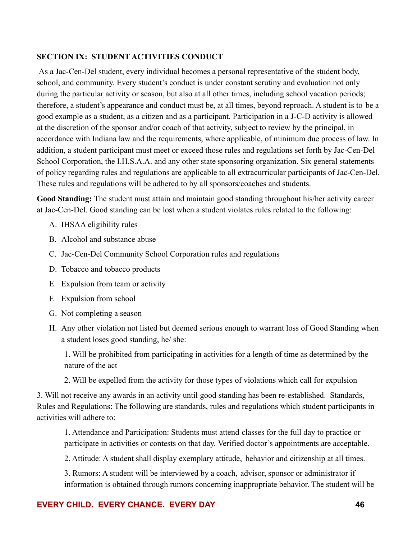### **SECTION IX: STUDENT ACTIVITIES CONDUCT**

As a Jac-Cen-Del student, every individual becomes a personal representative of the student body, school, and community. Every student's conduct is under constant scrutiny and evaluation not only during the particular activity or season, but also at all other times, including school vacation periods; therefore, a student's appearance and conduct must be, at all times, beyond reproach. A student is to be a good example as a student, as a citizen and as a participant. Participation in a J-C-D activity is allowed at the discretion of the sponsor and/or coach of that activity, subject to review by the principal, in accordance with Indiana law and the requirements, where applicable, of minimum due process of law. In addition, a student participant must meet or exceed those rules and regulations set forth by Jac-Cen-Del School Corporation, the I.H.S.A.A. and any other state sponsoring organization. Six general statements of policy regarding rules and regulations are applicable to all extracurricular participants of Jac-Cen-Del. These rules and regulations will be adhered to by all sponsors/coaches and students.

**Good Standing:** The student must attain and maintain good standing throughout his/her activity career at Jac-Cen-Del. Good standing can be lost when a student violates rules related to the following:

- A. IHSAA eligibility rules
- B. Alcohol and substance abuse
- C. Jac-Cen-Del Community School Corporation rules and regulations
- D. Tobacco and tobacco products
- E. Expulsion from team or activity
- F. Expulsion from school
- G. Not completing a season
- H. Any other violation not listed but deemed serious enough to warrant loss of Good Standing when a student loses good standing, he/ she:

1. Will be prohibited from participating in activities for a length of time as determined by the nature of the act

2. Will be expelled from the activity for those types of violations which call for expulsion

3. Will not receive any awards in an activity until good standing has been re-established. Standards, Rules and Regulations: The following are standards, rules and regulations which student participants in activities will adhere to:

1. Attendance and Participation: Students must attend classes for the full day to practice or participate in activities or contests on that day. Verified doctor's appointments are acceptable.

2. Attitude: A student shall display exemplary attitude, behavior and citizenship at all times.

3. Rumors: A student will be interviewed by a coach, advisor, sponsor or administrator if information is obtained through rumors concerning inappropriate behavior. The student will be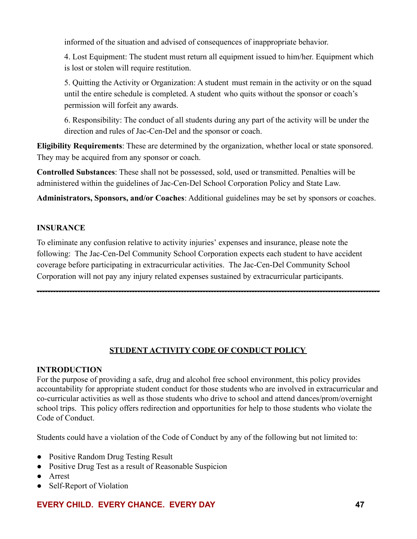informed of the situation and advised of consequences of inappropriate behavior.

4. Lost Equipment: The student must return all equipment issued to him/her. Equipment which is lost or stolen will require restitution.

5. Quitting the Activity or Organization: A student must remain in the activity or on the squad until the entire schedule is completed. A student who quits without the sponsor or coach's permission will forfeit any awards.

6. Responsibility: The conduct of all students during any part of the activity will be under the direction and rules of Jac-Cen-Del and the sponsor or coach.

**Eligibility Requirements**: These are determined by the organization, whether local or state sponsored. They may be acquired from any sponsor or coach.

**Controlled Substances**: These shall not be possessed, sold, used or transmitted. Penalties will be administered within the guidelines of Jac-Cen-Del School Corporation Policy and State Law.

**Administrators, Sponsors, and/or Coaches**: Additional guidelines may be set by sponsors or coaches.

# **INSURANCE**

To eliminate any confusion relative to activity injuries' expenses and insurance, please note the following: The Jac-Cen-Del Community School Corporation expects each student to have accident coverage before participating in extracurricular activities. The Jac-Cen-Del Community School Corporation will not pay any injury related expenses sustained by extracurricular participants.

# **STUDENT ACTIVITY CODE OF CONDUCT POLICY**

------------------------------------------------------------------------------------------------------------------------------

# **INTRODUCTION**

For the purpose of providing a safe, drug and alcohol free school environment, this policy provides accountability for appropriate student conduct for those students who are involved in extracurricular and co-curricular activities as well as those students who drive to school and attend dances/prom/overnight school trips. This policy offers redirection and opportunities for help to those students who violate the Code of Conduct.

Students could have a violation of the Code of Conduct by any of the following but not limited to:

- Positive Random Drug Testing Result
- Positive Drug Test as a result of Reasonable Suspicion
- Arrest
- Self-Report of Violation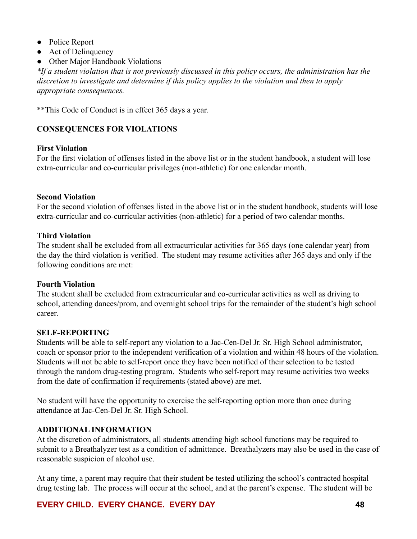- Police Report
- Act of Delinquency
- Other Major Handbook Violations

*\*If a student violation that is not previously discussed in this policy occurs, the administration has the discretion to investigate and determine if this policy applies to the violation and then to apply appropriate consequences.*

\*\*This Code of Conduct is in effect 365 days a year.

### **CONSEQUENCES FOR VIOLATIONS**

#### **First Violation**

For the first violation of offenses listed in the above list or in the student handbook, a student will lose extra-curricular and co-curricular privileges (non-athletic) for one calendar month.

#### **Second Violation**

For the second violation of offenses listed in the above list or in the student handbook, students will lose extra-curricular and co-curricular activities (non-athletic) for a period of two calendar months.

#### **Third Violation**

The student shall be excluded from all extracurricular activities for 365 days (one calendar year) from the day the third violation is verified. The student may resume activities after 365 days and only if the following conditions are met:

#### **Fourth Violation**

The student shall be excluded from extracurricular and co-curricular activities as well as driving to school, attending dances/prom, and overnight school trips for the remainder of the student's high school career.

### **SELF-REPORTING**

Students will be able to self-report any violation to a Jac-Cen-Del Jr. Sr. High School administrator, coach or sponsor prior to the independent verification of a violation and within 48 hours of the violation. Students will not be able to self-report once they have been notified of their selection to be tested through the random drug-testing program. Students who self-report may resume activities two weeks from the date of confirmation if requirements (stated above) are met.

No student will have the opportunity to exercise the self-reporting option more than once during attendance at Jac-Cen-Del Jr. Sr. High School.

### **ADDITIONAL INFORMATION**

At the discretion of administrators, all students attending high school functions may be required to submit to a Breathalyzer test as a condition of admittance. Breathalyzers may also be used in the case of reasonable suspicion of alcohol use.

At any time, a parent may require that their student be tested utilizing the school's contracted hospital drug testing lab. The process will occur at the school, and at the parent's expense. The student will be